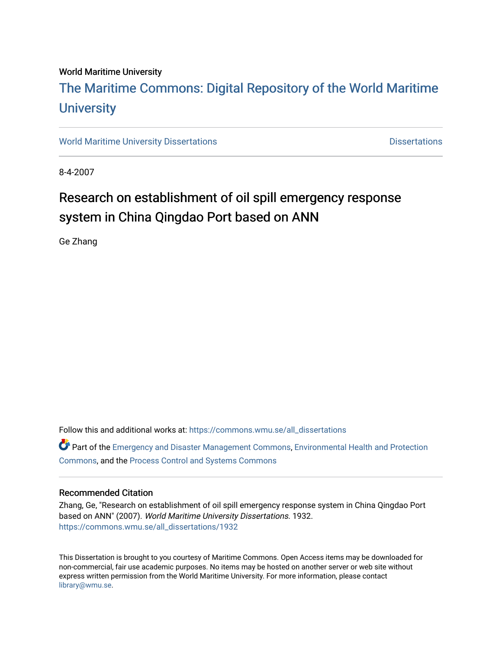# World Maritime University

# [The Maritime Commons: Digital Repository of the World Maritime](https://commons.wmu.se/)  **University**

[World Maritime University Dissertations](https://commons.wmu.se/all_dissertations) **Distributions** [Dissertations](https://commons.wmu.se/dissertations) Dissertations

8-4-2007

# Research on establishment of oil spill emergency response system in China Qingdao Port based on ANN

Ge Zhang

Follow this and additional works at: [https://commons.wmu.se/all\\_dissertations](https://commons.wmu.se/all_dissertations?utm_source=commons.wmu.se%2Fall_dissertations%2F1932&utm_medium=PDF&utm_campaign=PDFCoverPages) 

Part of the [Emergency and Disaster Management Commons,](http://network.bepress.com/hgg/discipline/1321?utm_source=commons.wmu.se%2Fall_dissertations%2F1932&utm_medium=PDF&utm_campaign=PDFCoverPages) [Environmental Health and Protection](http://network.bepress.com/hgg/discipline/172?utm_source=commons.wmu.se%2Fall_dissertations%2F1932&utm_medium=PDF&utm_campaign=PDFCoverPages) [Commons](http://network.bepress.com/hgg/discipline/172?utm_source=commons.wmu.se%2Fall_dissertations%2F1932&utm_medium=PDF&utm_campaign=PDFCoverPages), and the [Process Control and Systems Commons](http://network.bepress.com/hgg/discipline/247?utm_source=commons.wmu.se%2Fall_dissertations%2F1932&utm_medium=PDF&utm_campaign=PDFCoverPages) 

# Recommended Citation

Zhang, Ge, "Research on establishment of oil spill emergency response system in China Qingdao Port based on ANN" (2007). World Maritime University Dissertations. 1932. [https://commons.wmu.se/all\\_dissertations/1932](https://commons.wmu.se/all_dissertations/1932?utm_source=commons.wmu.se%2Fall_dissertations%2F1932&utm_medium=PDF&utm_campaign=PDFCoverPages)

This Dissertation is brought to you courtesy of Maritime Commons. Open Access items may be downloaded for non-commercial, fair use academic purposes. No items may be hosted on another server or web site without express written permission from the World Maritime University. For more information, please contact [library@wmu.se](mailto:library@wmu.edu).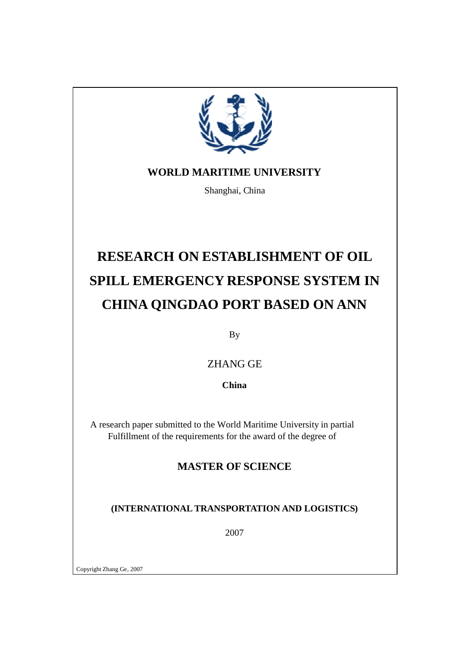

# **WORLD MARITIME UNIVERSITY**

Shanghai, China

# **RESEARCH ON ESTABLISHMENT OF OIL SPILL EMERGENCY RESPONSE SYSTEM IN CHINA QINGDAO PORT BASED ON ANN**

By

ZHANG GE

**China**

A research paper submitted to the World Maritime University in partial Fulfillment of the requirements for the award of the degree of

# **MASTER OF SCIENCE**

**(INTERNATIONAL TRANSPORTATION AND LOGISTICS)**

2007

Copyright Zhang Ge, 2007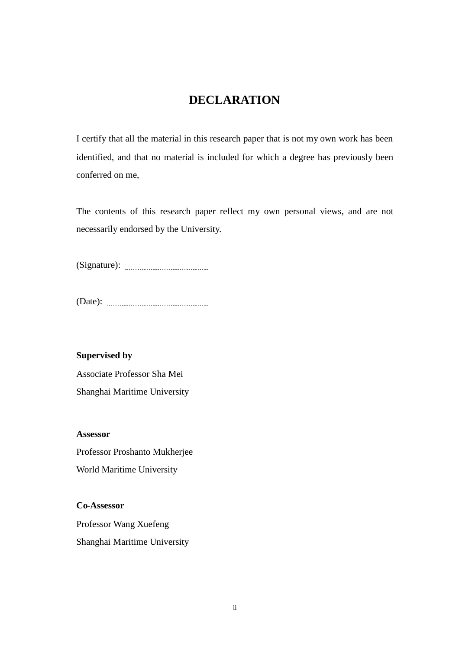# **DECLARATION**

I certify that all the material in this research paper that is not my own work has been identified, and that no material is included for which a degree has previously been conferred on me,

The contents of this research paper reflect my own personal views, and are not necessarily endorsed by the University.

(Signature):

(Date):

# **Supervised by**

Associate Professor Sha Mei Shanghai Maritime University

## **Assessor**

Professor Proshanto Mukherjee World Maritime University

# **Co-Assessor**

Professor Wang Xuefeng Shanghai Maritime University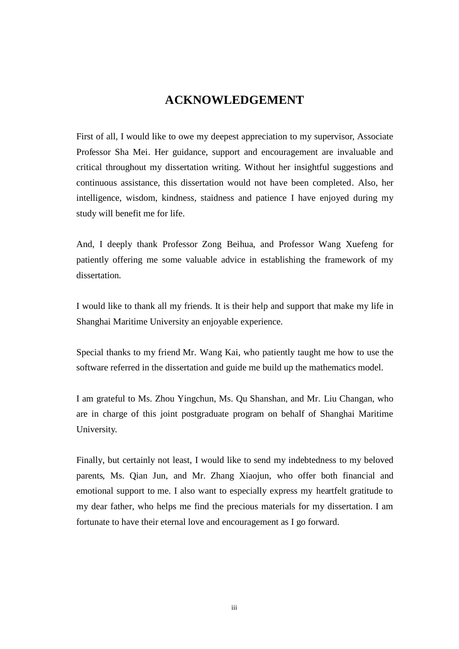# **ACKNOWLEDGEMENT**

First of all, I would like to owe my deepest appreciation to my supervisor, Associate Professor Sha Mei. Her guidance, support and encouragement are invaluable and critical throughout my dissertation writing. Without her insightful suggestions and continuous assistance, this dissertation would not have been completed. Also, her intelligence, wisdom, kindness, staidness and patience I have enjoyed during my study will benefit me for life.

And, I deeply thank Professor Zong Beihua, and Professor Wang Xuefeng for patiently offering me some valuable advice in establishing the framework of my dissertation.

I would like to thank all my friends. It is their help and support that make my life in Shanghai Maritime University an enjoyable experience.

Special thanks to my friend Mr. Wang Kai, who patiently taught me how to use the software referred in the dissertation and guide me build up the mathematics model.

I am grateful to Ms. Zhou Yingchun, Ms. Qu Shanshan, and Mr. Liu Changan, who are in charge of this joint postgraduate program on behalf of Shanghai Maritime University.

Finally, but certainly not least, I would like to send my indebtedness to my beloved parents, Ms. Qian Jun, and Mr. Zhang Xiaojun, who offer both financial and emotional support to me. I also want to especially express my heartfelt gratitude to my dear father, who helps me find the precious materials for my dissertation. I am fortunate to have their eternal love and encouragement as I go forward.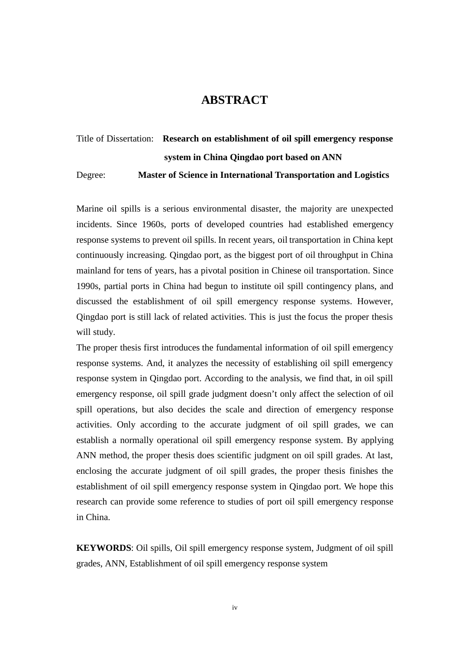# **ABSTRACT**

# Title of Dissertation: **Research on establishment of oil spill emergency response system in China Qingdao port based on ANN** Degree: **Master of Science in International Transportation and Logistics**

Marine oil spills is a serious environmental disaster, the majority are unexpected incidents. Since 1960s, ports of developed countries had established emergency response systems to prevent oil spills. In recent years, oil transportation in China kept continuously increasing. Qingdao port, as the biggest port of oil throughput in China mainland for tens of years, has a pivotal position in Chinese oil transportation. Since 1990s, partial ports in China had begun to institute oil spill contingency plans, and discussed the establishment of oil spill emergency response systems. However, Qingdao port is still lack of related activities. This is just the focus the proper thesis will study.

The proper thesis first introduces the fundamental information of oil spill emergency response systems. And, it analyzes the necessity of establishing oil spill emergency response system in Qingdao port. According to the analysis, we find that, in oil spill emergency response, oil spill grade judgment doesn't only affect the selection of oil spill operations, but also decides the scale and direction of emergency response activities. Only according to the accurate judgment of oil spill grades, we can establish a normally operational oil spill emergency response system. By applying ANN method, the proper thesis does scientific judgment on oil spill grades. At last, enclosing the accurate judgment of oil spill grades, the proper thesis finishes the establishment of oil spill emergency response system in Qingdao port. We hope this research can provide some reference to studies of port oil spill emergency response in China.

**KEYWORDS**: Oil spills, Oil spill emergency response system, Judgment of oil spill grades, ANN, Establishment of oil spill emergency response system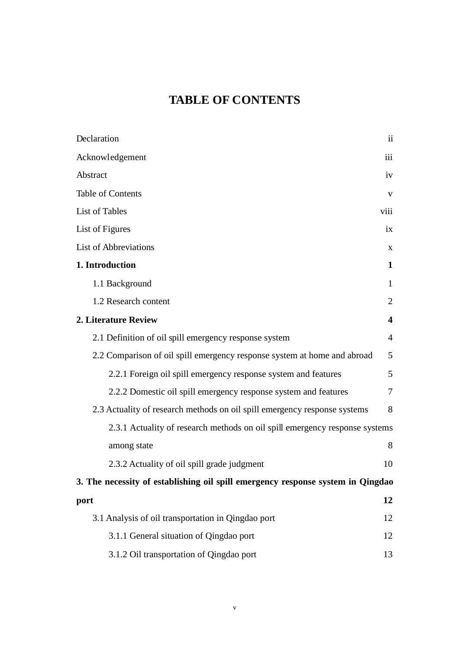# **TABLE OF CONTENTS**

| Declaration                                                                     | $\mathbf{ii}$  |
|---------------------------------------------------------------------------------|----------------|
| Acknowledgement                                                                 | iii            |
| Abstract                                                                        | iv             |
| Table of Contents                                                               | V              |
| List of Tables                                                                  | viii           |
| List of Figures                                                                 | ix             |
| <b>List of Abbreviations</b>                                                    | $\mathbf X$    |
| 1. Introduction                                                                 | 1              |
| 1.1 Background                                                                  | $\mathbf{1}$   |
| 1.2 Research content                                                            | $\overline{2}$ |
| 2. Literature Review                                                            | 4              |
| 2.1 Definition of oil spill emergency response system                           | $\overline{4}$ |
| 2.2 Comparison of oil spill emergency response system at home and abroad        | 5              |
| 2.2.1 Foreign oil spill emergency response system and features                  | 5              |
| 2.2.2 Domestic oil spill emergency response system and features                 | 7              |
| 2.3 Actuality of research methods on oil spill emergency response systems       | 8              |
| 2.3.1 Actuality of research methods on oil spill emergency response systems     |                |
| among state                                                                     | 8              |
| 2.3.2 Actuality of oil spill grade judgment                                     | 10             |
| 3. The necessity of establishing oil spill emergency response system in Qingdao |                |
| port                                                                            | 12             |
| 3.1 Analysis of oil transportation in Qingdao port                              | 12             |
| 3.1.1 General situation of Qingdao port                                         | 12             |
| 3.1.2 Oil transportation of Qingdao port                                        | 13             |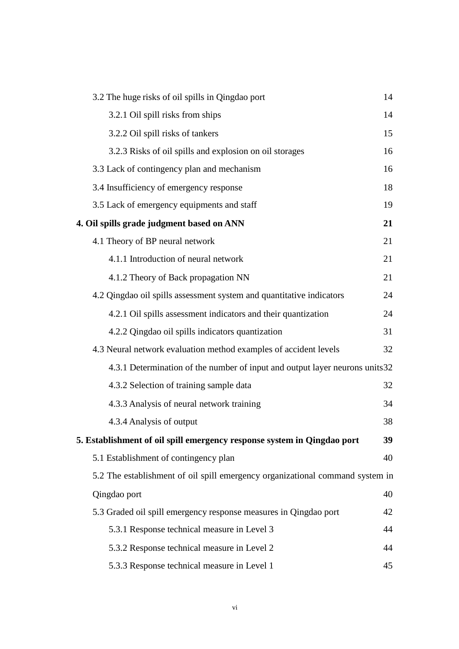| 3.2 The huge risks of oil spills in Qingdao port                              | 14 |
|-------------------------------------------------------------------------------|----|
| 3.2.1 Oil spill risks from ships                                              | 14 |
| 3.2.2 Oil spill risks of tankers                                              | 15 |
| 3.2.3 Risks of oil spills and explosion on oil storages                       | 16 |
| 3.3 Lack of contingency plan and mechanism                                    | 16 |
| 3.4 Insufficiency of emergency response                                       | 18 |
| 3.5 Lack of emergency equipments and staff                                    | 19 |
| 4. Oil spills grade judgment based on ANN                                     | 21 |
| 4.1 Theory of BP neural network                                               | 21 |
| 4.1.1 Introduction of neural network                                          | 21 |
| 4.1.2 Theory of Back propagation NN                                           | 21 |
| 4.2 Qingdao oil spills assessment system and quantitative indicators          | 24 |
| 4.2.1 Oil spills assessment indicators and their quantization                 | 24 |
| 4.2.2 Qingdao oil spills indicators quantization                              | 31 |
| 4.3 Neural network evaluation method examples of accident levels              | 32 |
| 4.3.1 Determination of the number of input and output layer neurons units 32  |    |
| 4.3.2 Selection of training sample data                                       | 32 |
| 4.3.3 Analysis of neural network training                                     | 34 |
| 4.3.4 Analysis of output                                                      | 38 |
| 5. Establishment of oil spill emergency response system in Qingdao port       | 39 |
| 5.1 Establishment of contingency plan                                         | 40 |
| 5.2 The establishment of oil spill emergency organizational command system in |    |
| Qingdao port                                                                  | 40 |
| 5.3 Graded oil spill emergency response measures in Qingdao port              | 42 |
| 5.3.1 Response technical measure in Level 3                                   | 44 |
| 5.3.2 Response technical measure in Level 2                                   | 44 |
| 5.3.3 Response technical measure in Level 1                                   | 45 |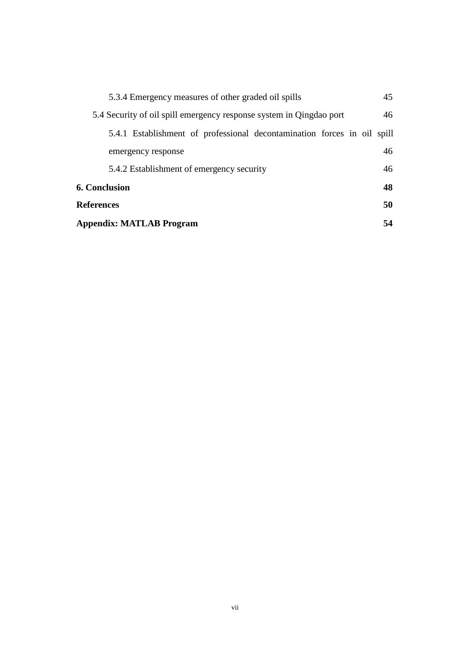| 54<br><b>Appendix: MATLAB Program</b>                                     |  |
|---------------------------------------------------------------------------|--|
| 50<br><b>References</b>                                                   |  |
| 48<br><b>6. Conclusion</b>                                                |  |
| 46<br>5.4.2 Establishment of emergency security                           |  |
| 46<br>emergency response                                                  |  |
| 5.4.1 Establishment of professional decontamination forces in oil spill   |  |
| 46<br>5.4 Security of oil spill emergency response system in Qingdao port |  |
| 45<br>5.3.4 Emergency measures of other graded oil spills                 |  |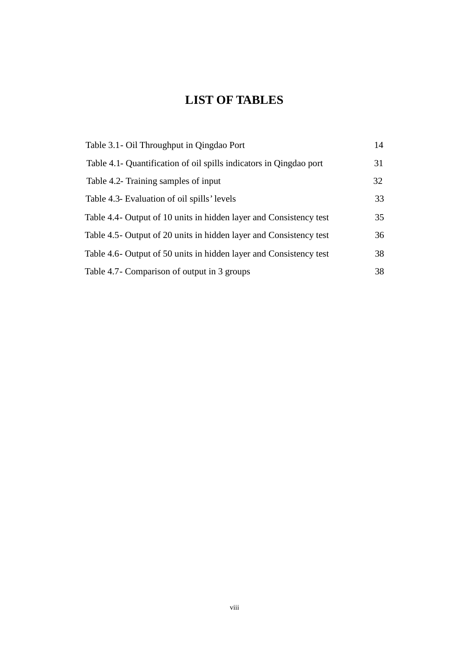# **LIST OF TABLES**

| Table 3.1 - Oil Throughput in Qingdao Port                          | 14 |
|---------------------------------------------------------------------|----|
| Table 4.1- Quantification of oil spills indicators in Qingdao port  | 31 |
| Table 4.2- Training samples of input                                | 32 |
| Table 4.3- Evaluation of oil spills' levels                         | 33 |
| Table 4.4- Output of 10 units in hidden layer and Consistency test  | 35 |
| Table 4.5 - Output of 20 units in hidden layer and Consistency test | 36 |
| Table 4.6- Output of 50 units in hidden layer and Consistency test  | 38 |
| Table 4.7- Comparison of output in 3 groups                         | 38 |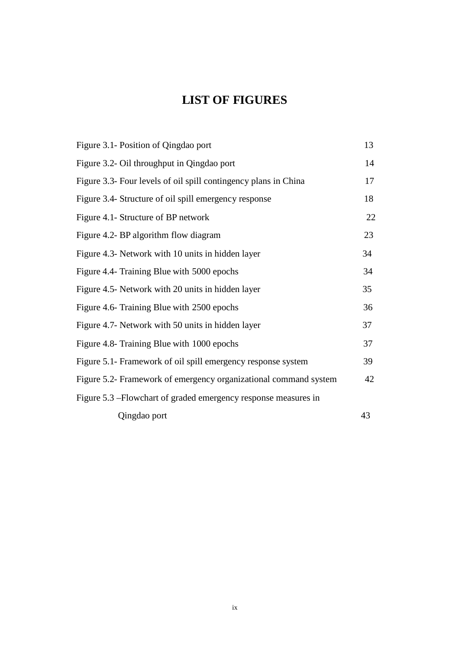# **LIST OF FIGURES**

| Figure 3.1- Position of Qingdao port                             | 13 |
|------------------------------------------------------------------|----|
| Figure 3.2- Oil throughput in Qingdao port                       | 14 |
| Figure 3.3- Four levels of oil spill contingency plans in China  | 17 |
| Figure 3.4- Structure of oil spill emergency response            | 18 |
| Figure 4.1- Structure of BP network                              | 22 |
| Figure 4.2- BP algorithm flow diagram                            | 23 |
| Figure 4.3- Network with 10 units in hidden layer                | 34 |
| Figure 4.4- Training Blue with 5000 epochs                       | 34 |
| Figure 4.5- Network with 20 units in hidden layer                | 35 |
| Figure 4.6- Training Blue with 2500 epochs                       | 36 |
| Figure 4.7- Network with 50 units in hidden layer                | 37 |
| Figure 4.8- Training Blue with 1000 epochs                       | 37 |
| Figure 5.1- Framework of oil spill emergency response system     | 39 |
| Figure 5.2- Framework of emergency organizational command system | 42 |
| Figure 5.3 – Flowchart of graded emergency response measures in  |    |
| Qingdao port                                                     | 43 |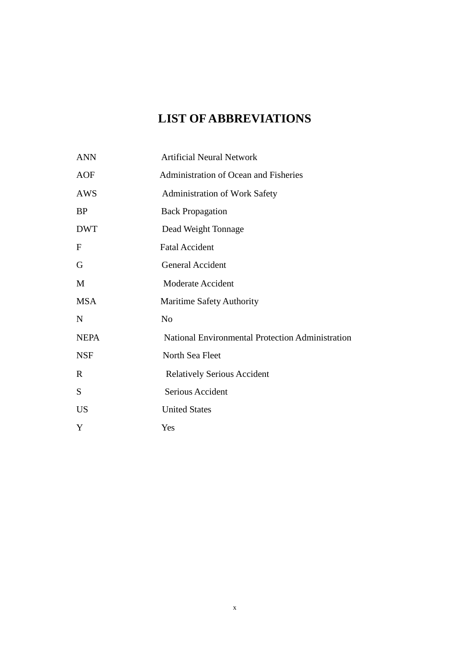# **LIST OF ABBREVIATIONS**

| <b>ANN</b>   | <b>Artificial Neural Network</b>                 |
|--------------|--------------------------------------------------|
| <b>AOF</b>   | <b>Administration of Ocean and Fisheries</b>     |
| AWS          | Administration of Work Safety                    |
| <b>BP</b>    | <b>Back Propagation</b>                          |
| <b>DWT</b>   | Dead Weight Tonnage                              |
| $\mathbf{F}$ | <b>Fatal Accident</b>                            |
| G            | General Accident                                 |
| M            | <b>Moderate Accident</b>                         |
| <b>MSA</b>   | <b>Maritime Safety Authority</b>                 |
| N            | N <sub>o</sub>                                   |
| <b>NEPA</b>  | National Environmental Protection Administration |
| <b>NSF</b>   | North Sea Fleet                                  |
| $\mathbf R$  | <b>Relatively Serious Accident</b>               |
| S            | Serious Accident                                 |
| <b>US</b>    | <b>United States</b>                             |
| Y            | Yes                                              |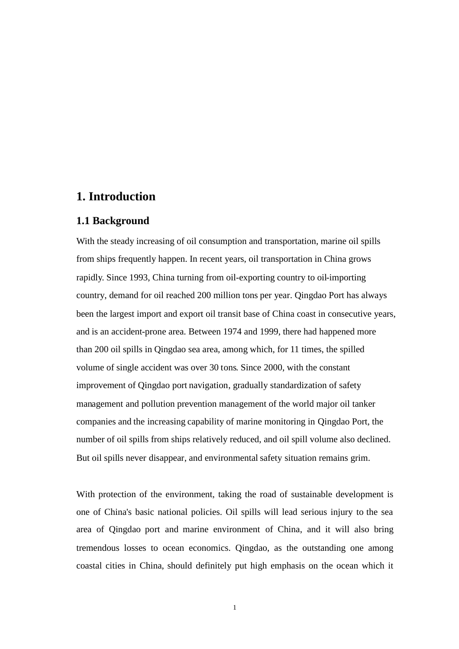# **1. Introduction**

# **1.1 Background**

With the steady increasing of oil consumption and transportation, marine oil spills from ships frequently happen. In recent years, oil transportation in China grows rapidly. Since 1993, China turning from oil-exporting country to oil-importing country, demand for oil reached 200 million tons per year. Qingdao Port has always been the largest import and export oil transit base of China coast in consecutive years, and is an accident-prone area. Between 1974 and 1999, there had happened more than 200 oil spills in Qingdao sea area, among which, for 11 times, the spilled volume of single accident was over 30 tons. Since 2000, with the constant improvement of Qingdao port navigation, gradually standardization of safety management and pollution prevention management of the world major oil tanker companies and the increasing capability of marine monitoring in Qingdao Port, the number of oil spills from ships relatively reduced, and oil spill volume also declined. But oil spills never disappear, and environmental safety situation remains grim.

With protection of the environment, taking the road of sustainable development is one of China's basic national policies. Oil spills will lead serious injury to the sea area of Qingdao port and marine environment of China, and it will also bring tremendous losses to ocean economics. Qingdao, as the outstanding one among coastal cities in China, should definitely put high emphasis on the ocean which it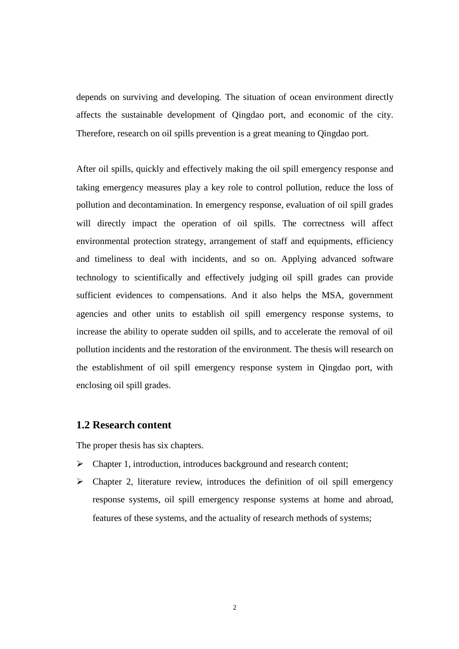depends on surviving and developing. The situation of ocean environment directly affects the sustainable development of Qingdao port, and economic of the city. Therefore, research on oil spills prevention is a great meaning to Qingdao port.

After oil spills, quickly and effectively making the oil spill emergency response and taking emergency measures play a key role to control pollution, reduce the loss of pollution and decontamination. In emergency response, evaluation of oil spill grades will directly impact the operation of oil spills. The correctness will affect environmental protection strategy, arrangement of staff and equipments, efficiency and timeliness to deal with incidents, and so on. Applying advanced software technology to scientifically and effectively judging oil spill grades can provide sufficient evidences to compensations. And it also helps the MSA, government agencies and other units to establish oil spill emergency response systems, to increase the ability to operate sudden oil spills, and to accelerate the removal of oil pollution incidents and the restoration of the environment. The thesis will research on the establishment of oil spill emergency response system in Qingdao port, with enclosing oil spill grades.

# **1.2 Research content**

The proper thesis has six chapters.

- $\triangleright$  Chapter 1, introduction, introduces background and research content;
- $\triangleright$  Chapter 2, literature review, introduces the definition of oil spill emergency response systems, oil spill emergency response systems at home and abroad, features of these systems, and the actuality of research methods of systems;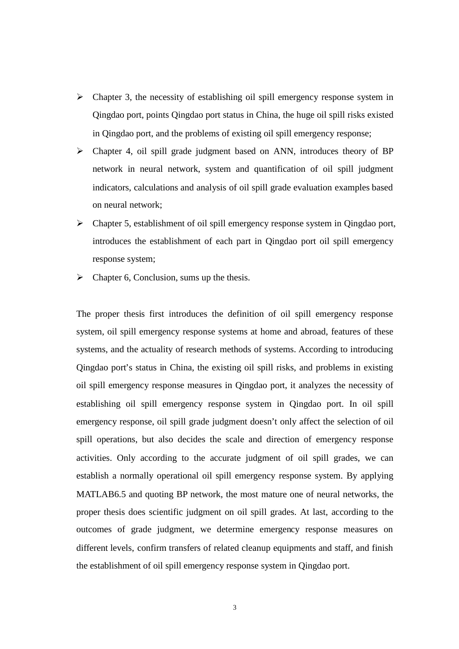- $\triangleright$  Chapter 3, the necessity of establishing oil spill emergency response system in Qingdao port, points Qingdao port status in China, the huge oil spill risks existed in Qingdao port, and the problems of existing oil spill emergency response;
- Chapter 4, oil spill grade judgment based on ANN, introduces theory of BP network in neural network, system and quantification of oil spill judgment indicators, calculations and analysis of oil spill grade evaluation examples based on neural network;
- Chapter 5, establishment of oil spill emergency response system in Qingdao port, introduces the establishment of each part in Qingdao port oil spill emergency response system;
- $\triangleright$  Chapter 6, Conclusion, sums up the thesis.

The proper thesis first introduces the definition of oil spill emergency response system, oil spill emergency response systems at home and abroad, features of these systems, and the actuality of research methods of systems. According to introducing Qingdao port's status in China, the existing oil spill risks, and problems in existing oil spill emergency response measures in Qingdao port, it analyzes the necessity of establishing oil spill emergency response system in Qingdao port. In oil spill emergency response, oil spill grade judgment doesn't only affect the selection of oil spill operations, but also decides the scale and direction of emergency response activities. Only according to the accurate judgment of oil spill grades, we can establish a normally operational oil spill emergency response system. By applying MATLAB6.5 and quoting BP network, the most mature one of neural networks, the proper thesis does scientific judgment on oil spill grades. At last, according to the outcomes of grade judgment, we determine emergency response measures on different levels, confirm transfers of related cleanup equipments and staff, and finish the establishment of oil spill emergency response system in Qingdao port.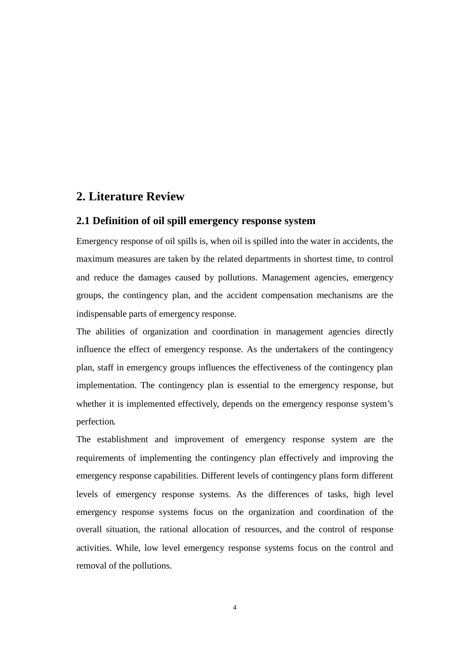# **2. Literature Review**

# **2.1 Definition of oil spill emergency response system**

Emergency response of oil spills is, when oil is spilled into the water in accidents, the maximum measures are taken by the related departments in shortest time, to control and reduce the damages caused by pollutions. Management agencies, emergency groups, the contingency plan, and the accident compensation mechanisms are the indispensable parts of emergency response.

The abilities of organization and coordination in management agencies directly influence the effect of emergency response. As the undertakers of the contingency plan, staff in emergency groups influences the effectiveness of the contingency plan implementation. The contingency plan is essential to the emergency response, but whether it is implemented effectively, depends on the emergency response system's perfection.

The establishment and improvement of emergency response system are the requirements of implementing the contingency plan effectively and improving the emergency response capabilities. Different levels of contingency plans form different levels of emergency response systems. As the differences of tasks, high level emergency response systems focus on the organization and coordination of the overall situation, the rational allocation of resources, and the control of response activities. While, low level emergency response systems focus on the control and removal of the pollutions.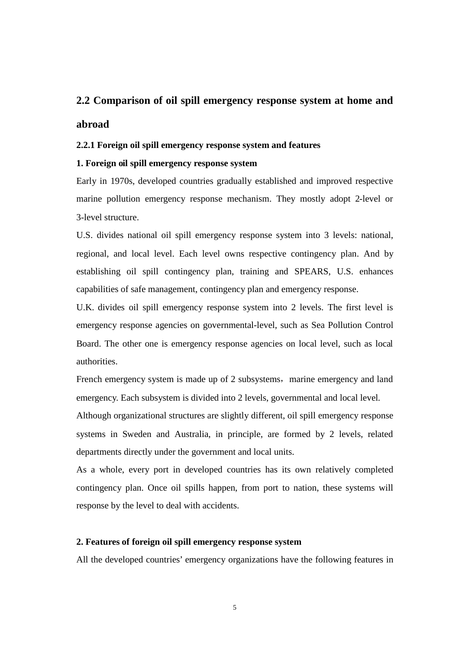# **2.2 Comparison of oil spill emergency response system at home and**

# **abroad**

### **2.2.1 Foreign oil spill emergency response system and features**

## **1. Foreign oil spill emergency response system**

Early in 1970s, developed countries gradually established and improved respective marine pollution emergency response mechanism. They mostly adopt 2-level or 3-level structure.

U.S. divides national oil spill emergency response system into 3 levels: national, regional, and local level. Each level owns respective contingency plan. And by establishing oil spill contingency plan, training and SPEARS, U.S. enhances capabilities of safe management, contingency plan and emergency response.

U.K. divides oil spill emergency response system into 2 levels. The first level is emergency response agencies on governmental-level, such as Sea Pollution Control Board. The other one is emergency response agencies on local level, such as local authorities.

French emergency system is made up of 2 subsystems, marine emergency and land emergency. Each subsystem is divided into 2 levels, governmental and local level.

Although organizational structures are slightly different, oil spill emergency response systems in Sweden and Australia, in principle, are formed by 2 levels, related departments directly under the government and local units.

As a whole, every port in developed countries has its own relatively completed contingency plan. Once oil spills happen, from port to nation, these systems will response by the level to deal with accidents.

## **2. Features of foreign oil spill emergency response system**

All the developed countries' emergency organizations have the following features in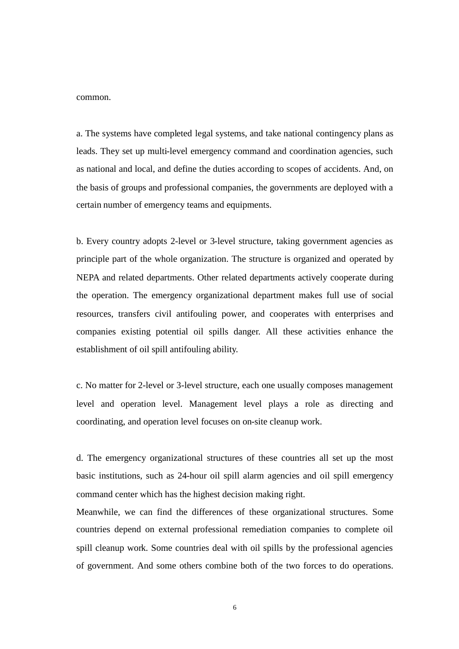common.

a. The systems have completed legal systems, and take national contingency plans as leads. They set up multi-level emergency command and coordination agencies, such as national and local, and define the duties according to scopes of accidents. And, on the basis of groups and professional companies, the governments are deployed with a certain number of emergency teams and equipments.

b. Every country adopts 2-level or 3-level structure, taking government agencies as principle part of the whole organization. The structure is organized and operated by NEPA and related departments. Other related departments actively cooperate during the operation. The emergency organizational department makes full use of social resources, transfers civil antifouling power, and cooperates with enterprises and companies existing potential oil spills danger. All these activities enhance the establishment of oil spill antifouling ability.

c. No matter for 2-level or 3-level structure, each one usually composes management level and operation level. Management level plays a role as directing and coordinating, and operation level focuses on on-site cleanup work.

d. The emergency organizational structures of these countries all set up the most basic institutions, such as 24-hour oil spill alarm agencies and oil spill emergency command center which has the highest decision making right.

Meanwhile, we can find the differences of these organizational structures. Some countries depend on external professional remediation companies to complete oil spill cleanup work. Some countries deal with oil spills by the professional agencies of government. And some others combine both of the two forces to do operations.

6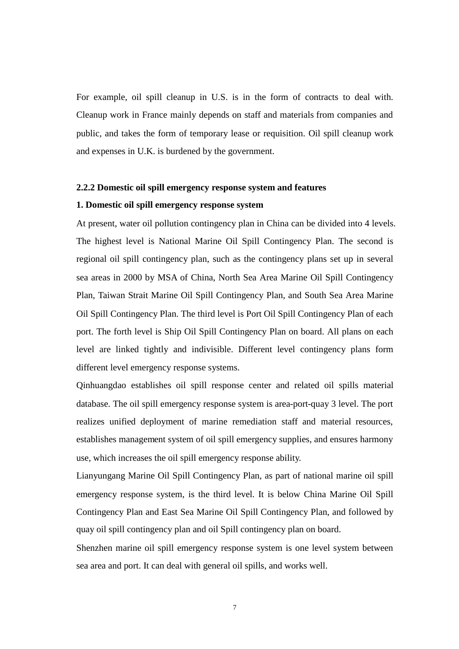For example, oil spill cleanup in U.S. is in the form of contracts to deal with. Cleanup work in France mainly depends on staff and materials from companies and public, and takes the form of temporary lease or requisition. Oil spill cleanup work and expenses in U.K. is burdened by the government.

#### **2.2.2 Domestic oil spill emergency response system and features**

#### **1. Domestic oil spill emergency response system**

At present, water oil pollution contingency plan in China can be divided into 4 levels. The highest level is National Marine Oil Spill Contingency Plan. The second is regional oil spill contingency plan, such as the contingency plans set up in several sea areas in 2000 by MSA of China, North Sea Area Marine Oil Spill Contingency Plan, Taiwan Strait Marine Oil Spill Contingency Plan, and South Sea Area Marine Oil Spill Contingency Plan. The third level is Port Oil Spill Contingency Plan of each port. The forth level is Ship Oil Spill Contingency Plan on board. All plans on each level are linked tightly and indivisible. Different level contingency plans form different level emergency response systems.

Qinhuangdao establishes oil spill response center and related oil spills material database. The oil spill emergency response system is area-port-quay 3 level. The port realizes unified deployment of marine remediation staff and material resources, establishes management system of oil spill emergency supplies, and ensures harmony use, which increases the oil spill emergency response ability.

Lianyungang Marine Oil Spill Contingency Plan, as part of national marine oil spill emergency response system, is the third level. It is below China Marine Oil Spill Contingency Plan and East Sea Marine Oil Spill Contingency Plan, and followed by quay oil spill contingency plan and oil Spill contingency plan on board.

Shenzhen marine oil spill emergency response system is one level system between sea area and port. It can deal with general oil spills, and works well.

7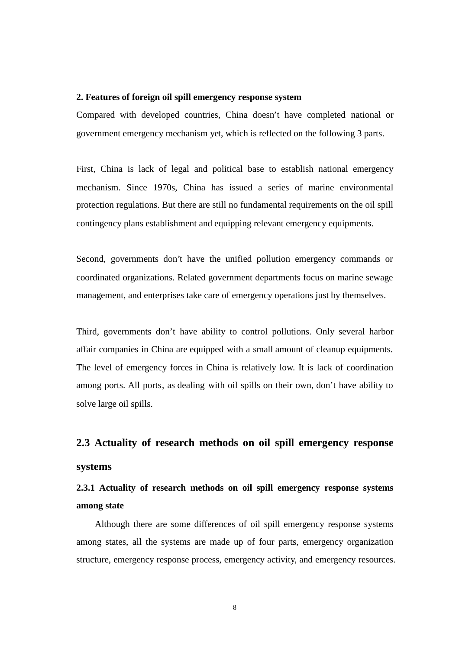#### **2. Features of foreign oil spill emergency response system**

Compared with developed countries, China doesn't have completed national or government emergency mechanism yet, which is reflected on the following 3 parts.

First, China is lack of legal and political base to establish national emergency mechanism. Since 1970s, China has issued a series of marine environmental protection regulations. But there are still no fundamental requirements on the oil spill contingency plans establishment and equipping relevant emergency equipments.

Second, governments don't have the unified pollution emergency commands or coordinated organizations. Related government departments focus on marine sewage management, and enterprises take care of emergency operations just by themselves.

Third, governments don't have ability to control pollutions. Only several harbor affair companies in China are equipped with a small amount of cleanup equipments. The level of emergency forces in China is relatively low. It is lack of coordination among ports. All ports, as dealing with oil spills on their own, don't have ability to solve large oil spills.

# **2.3 Actuality of research methods on oil spill emergency response systems**

# **2.3.1 Actuality of research methods on oil spill emergency response systems among state**

Although there are some differences of oil spill emergency response systems among states, all the systems are made up of four parts, emergency organization structure, emergency response process, emergency activity, and emergency resources.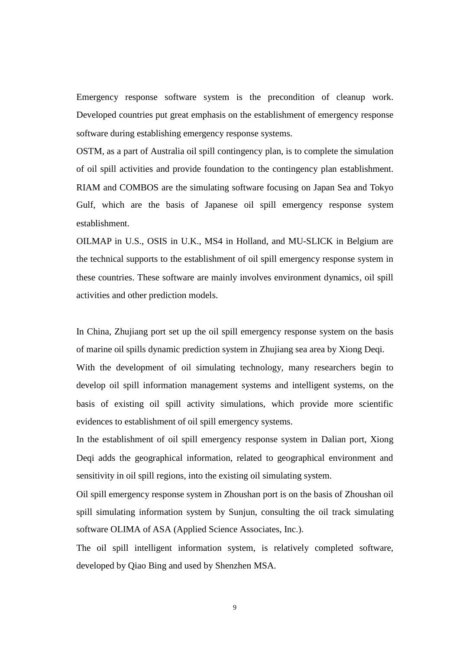Emergency response software system is the precondition of cleanup work. Developed countries put great emphasis on the establishment of emergency response software during establishing emergency response systems.

OSTM, as a part of Australia oil spill contingency plan, is to complete the simulation of oil spill activities and provide foundation to the contingency plan establishment. RIAM and COMBOS are the simulating software focusing on Japan Sea and Tokyo Gulf, which are the basis of Japanese oil spill emergency response system establishment.

OILMAP in U.S., OSIS in U.K., MS4 in Holland, and MU-SLICK in Belgium are the technical supports to the establishment of oil spill emergency response system in these countries. These software are mainly involves environment dynamics, oil spill activities and other prediction models.

In China, Zhujiang port set up the oil spill emergency response system on the basis of marine oil spills dynamic prediction system in Zhujiang sea area by Xiong Deqi. With the development of oil simulating technology, many researchers begin to develop oil spill information management systems and intelligent systems, on the basis of existing oil spill activity simulations, which provide more scientific evidences to establishment of oil spill emergency systems.

In the establishment of oil spill emergency response system in Dalian port, Xiong Deqi adds the geographical information, related to geographical environment and sensitivity in oil spill regions, into the existing oil simulating system.

Oil spill emergency response system in Zhoushan port is on the basis of Zhoushan oil spill simulating information system by Sunjun, consulting the oil track simulating software OLIMA of ASA (Applied Science Associates, Inc.).

The oil spill intelligent information system, is relatively completed software, developed by Qiao Bing and used by Shenzhen MSA.

9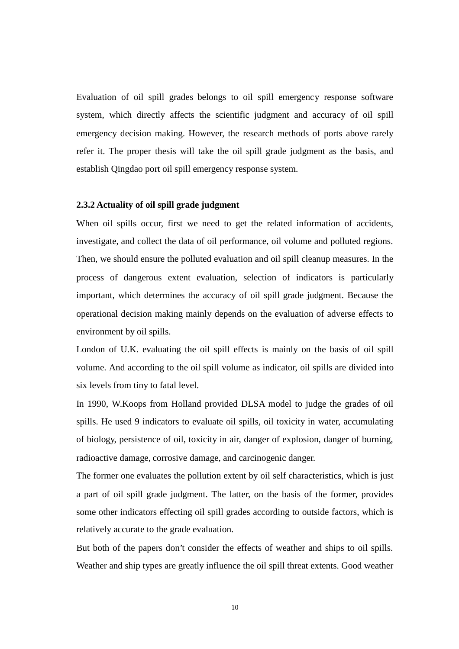Evaluation of oil spill grades belongs to oil spill emergency response software system, which directly affects the scientific judgment and accuracy of oil spill emergency decision making. However, the research methods of ports above rarely refer it. The proper thesis will take the oil spill grade judgment as the basis, and establish Qingdao port oil spill emergency response system.

### **2.3.2 Actuality of oil spill grade judgment**

When oil spills occur, first we need to get the related information of accidents, investigate, and collect the data of oil performance, oil volume and polluted regions. Then, we should ensure the polluted evaluation and oil spill cleanup measures. In the process of dangerous extent evaluation, selection of indicators is particularly important, which determines the accuracy of oil spill grade judgment. Because the operational decision making mainly depends on the evaluation of adverse effects to environment by oil spills.

London of U.K. evaluating the oil spill effects is mainly on the basis of oil spill volume. And according to the oil spill volume as indicator, oil spills are divided into six levels from tiny to fatal level.

In 1990, W.Koops from Holland provided DLSA model to judge the grades of oil spills. He used 9 indicators to evaluate oil spills, oil toxicity in water, accumulating of biology, persistence of oil, toxicity in air, danger of explosion, danger of burning, radioactive damage, corrosive damage, and carcinogenic danger.

The former one evaluates the pollution extent by oil self characteristics, which is just a part of oil spill grade judgment. The latter, on the basis of the former, provides some other indicators effecting oil spill grades according to outside factors, which is relatively accurate to the grade evaluation.

But both of the papers don't consider the effects of weather and ships to oil spills. Weather and ship types are greatly influence the oil spill threat extents. Good weather

10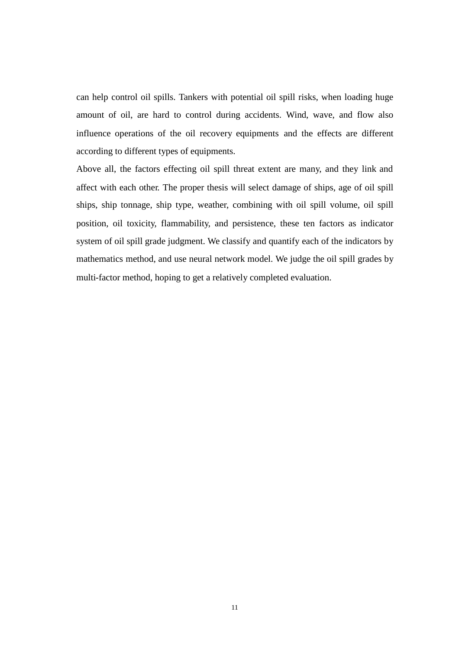can help control oil spills. Tankers with potential oil spill risks, when loading huge amount of oil, are hard to control during accidents. Wind, wave, and flow also influence operations of the oil recovery equipments and the effects are different according to different types of equipments.

Above all, the factors effecting oil spill threat extent are many, and they link and affect with each other. The proper thesis will select damage of ships, age of oil spill ships, ship tonnage, ship type, weather, combining with oil spill volume, oil spill position, oil toxicity, flammability, and persistence, these ten factors as indicator system of oil spill grade judgment. We classify and quantify each of the indicators by mathematics method, and use neural network model. We judge the oil spill grades by multi-factor method, hoping to get a relatively completed evaluation.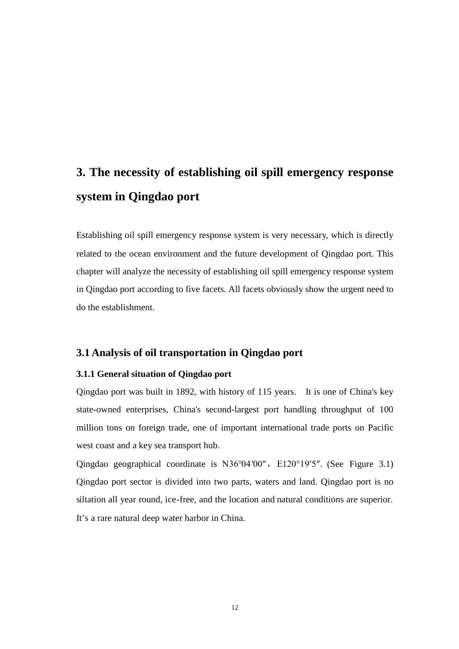# **3. The necessity of establishing oil spill emergency response system in Qingdao port**

Establishing oil spill emergency response system is very necessary, which is directly related to the ocean environment and the future development of Qingdao port. This chapter will analyze the necessity of establishing oil spill emergency response system in Qingdao port according to five facets. All facets obviously show the urgent need to do the establishment.

# **3.1 Analysis of oil transportation in Qingdao port**

## **3.1.1 General situation of Qingdao port**

Qingdao port was built in 1892, with history of 115 years. It is one of China's key state-owned enterprises, China's second-largest port handling throughput of 100 million tons on foreign trade, one of important international trade ports on Pacific west coast and a key sea transport hub.

Qingdao geographical coordinate is N36°04'00", E120°19'5". (See Figure 3.1) Qingdao port sector is divided into two parts, waters and land. Qingdao port is no siltation all year round, ice-free, and the location and natural conditions are superior. It's a rare natural deep water harbor in China.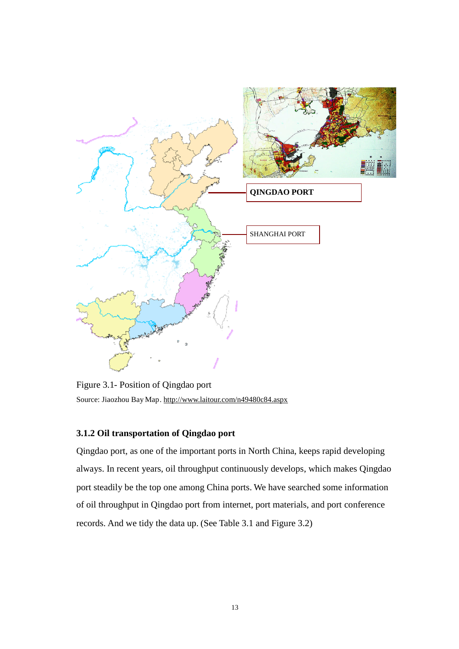

Figure 3.1- Position of Qingdao port Source: Jiaozhou Bay Map. http://www.laitour.com/n49480c84.aspx

# **3.1.2 Oil transportation of Qingdao port**

Qingdao port, as one of the important ports in North China, keeps rapid developing always. In recent years, oil throughput continuously develops, which makes Qingdao port steadily be the top one among China ports. We have searched some information of oil throughput in Qingdao port from internet, port materials, and port conference records. And we tidy the data up. (See Table 3.1 and Figure 3.2)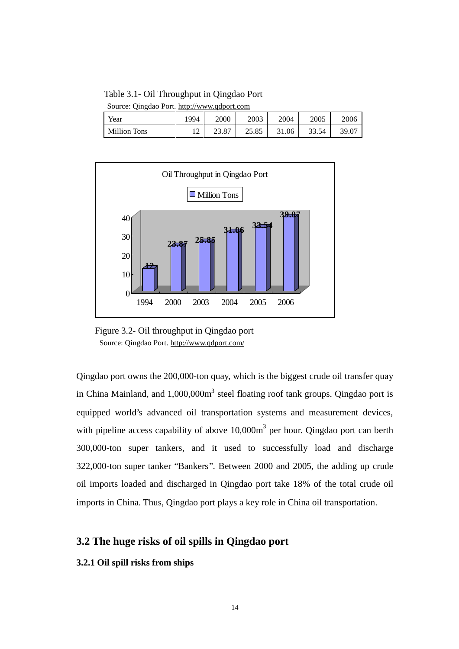Table 3.1- Oil Throughput in Qingdao Port

| Source: Qingdao Port. http://www.qdport.com |      |       |       |       |       |       |  |  |
|---------------------------------------------|------|-------|-------|-------|-------|-------|--|--|
| Year                                        | 1994 | 2000  | 2003  | 2004  | 2005  | 2006  |  |  |
| Million Tons                                |      | 23.87 | 25.85 | 31.06 | 33.54 | 39.07 |  |  |



Figure 3.2- Oil throughput in Qingdao port Source: Qingdao Port. http://www.qdport.com/

Qingdao port owns the 200,000-ton quay, which is the biggest crude oil transfer quay in China Mainland, and 1,000,000m<sup>3</sup> steel floating roof tank groups. Qingdao port is equipped world's advanced oil transportation systems and measurement devices, with pipeline access capability of above  $10,000m<sup>3</sup>$  per hour. Qingdao port can berth 300,000-ton super tankers, and it used to successfully load and discharge 322,000-ton super tanker "Bankers". Between 2000 and 2005, the adding up crude oil imports loaded and discharged in Qingdao port take 18% of the total crude oil imports in China. Thus, Qingdao port plays a key role in China oil transportation.

# **3.2 The huge risks of oil spills in Qingdao port**

# **3.2.1 Oil spill risks from ships**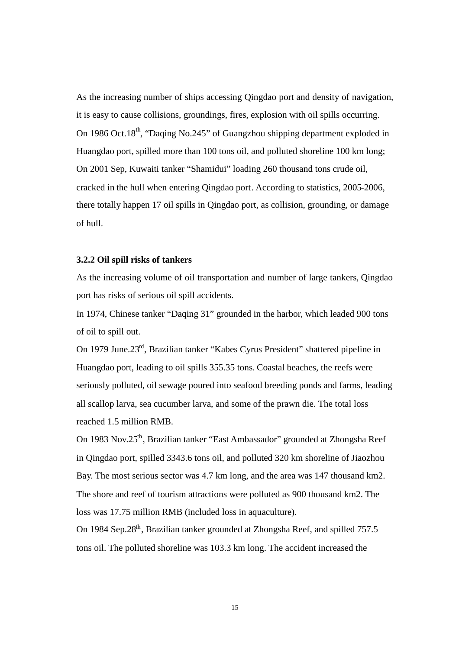As the increasing number of ships accessing Qingdao port and density of navigation, it is easy to cause collisions, groundings, fires, explosion with oil spills occurring. On 1986 Oct.18<sup>th</sup>, "Daqing No.245" of Guangzhou shipping department exploded in Huangdao port, spilled more than 100 tons oil, and polluted shoreline 100 km long; On 2001 Sep, Kuwaiti tanker "Shamidui" loading 260 thousand tons crude oil, cracked in the hull when entering Qingdao port. According to statistics, 2005-2006, there totally happen 17 oil spills in Qingdao port, as collision, grounding, or damage of hull.

### **3.2.2 Oil spill risks of tankers**

As the increasing volume of oil transportation and number of large tankers, Qingdao port has risks of serious oil spill accidents.

In 1974, Chinese tanker "Daqing 31" grounded in the harbor, which leaded 900 tons of oil to spill out.

On 1979 June.23<sup>rd</sup>, Brazilian tanker "Kabes Cyrus President" shattered pipeline in Huangdao port, leading to oil spills 355.35 tons. Coastal beaches, the reefs were seriously polluted, oil sewage poured into seafood breeding ponds and farms, leading all scallop larva, sea cucumber larva, and some of the prawn die. The total loss reached 1.5 million RMB.

On 1983 Nov.25<sup>th</sup>, Brazilian tanker "East Ambassador" grounded at Zhongsha Reef in Qingdao port, spilled 3343.6 tons oil, and polluted 320 km shoreline of Jiaozhou Bay. The most serious sector was 4.7 km long, and the area was 147 thousand km2. The shore and reef of tourism attractions were polluted as 900 thousand km2. The loss was 17.75 million RMB (included loss in aquaculture).

On 1984 Sep.28<sup>th</sup>, Brazilian tanker grounded at Zhongsha Reef, and spilled 757.5 tons oil. The polluted shoreline was 103.3 km long. The accident increased the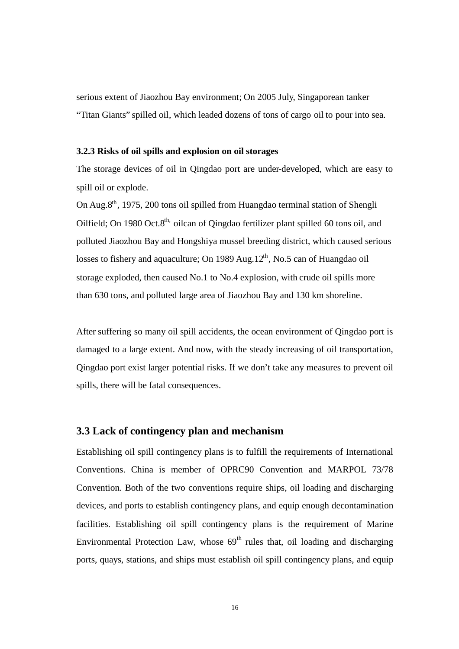serious extent of Jiaozhou Bay environment; On 2005 July, Singaporean tanker "Titan Giants"spilled oil, which leaded dozens of tons of cargo oil to pour into sea.

#### **3.2.3 Risks of oil spills and explosion on oil storages**

The storage devices of oil in Qingdao port are under-developed, which are easy to spill oil or explode.

On Aug.8th, 1975, 200 tons oil spilled from Huangdao terminal station of Shengli Oilfield; On 1980 Oct.8<sup>th,</sup> oilcan of Oingdao fertilizer plant spilled 60 tons oil, and polluted Jiaozhou Bay and Hongshiya mussel breeding district, which caused serious losses to fishery and aquaculture; On 1989 Aug.12<sup>th</sup>, No.5 can of Huangdao oil storage exploded, then caused No.1 to No.4 explosion, with crude oil spills more than 630 tons, and polluted large area of Jiaozhou Bay and 130 km shoreline.

After suffering so many oil spill accidents, the ocean environment of Qingdao port is damaged to a large extent. And now, with the steady increasing of oil transportation, Qingdao port exist larger potential risks. If we don't take any measures to prevent oil spills, there will be fatal consequences.

## **3.3 Lack of contingency plan and mechanism**

Establishing oil spill contingency plans is to fulfill the requirements of International Conventions. China is member of OPRC90 Convention and MARPOL 73/78 Convention. Both of the two conventions require ships, oil loading and discharging devices, and ports to establish contingency plans, and equip enough decontamination facilities. Establishing oil spill contingency plans is the requirement of Marine Environmental Protection Law, whose  $69<sup>th</sup>$  rules that, oil loading and discharging ports, quays, stations, and ships must establish oil spill contingency plans, and equip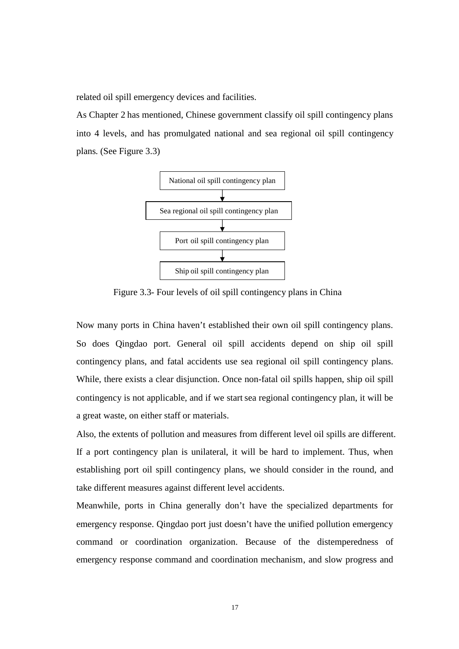related oil spill emergency devices and facilities.

As Chapter 2 has mentioned, Chinese government classify oil spill contingency plans into 4 levels, and has promulgated national and sea regional oil spill contingency plans. (See Figure 3.3)



Figure 3.3- Four levels of oil spill contingency plans in China

Now many ports in China haven't established their own oil spill contingency plans. So does Qingdao port. General oil spill accidents depend on ship oil spill contingency plans, and fatal accidents use sea regional oil spill contingency plans. While, there exists a clear disjunction. Once non-fatal oil spills happen, ship oil spill contingency is not applicable, and if we start sea regional contingency plan, it will be a great waste, on either staff or materials.

Also, the extents of pollution and measures from different level oil spills are different. If a port contingency plan is unilateral, it will be hard to implement. Thus, when establishing port oil spill contingency plans, we should consider in the round, and take different measures against different level accidents.

Meanwhile, ports in China generally don't have the specialized departments for emergency response. Qingdao port just doesn't have the unified pollution emergency command or coordination organization. Because of the distemperedness of emergency response command and coordination mechanism, and slow progress and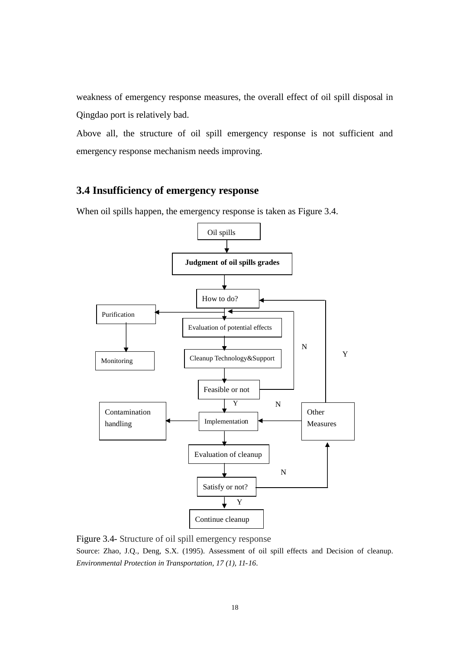weakness of emergency response measures, the overall effect of oil spill disposal in Qingdao port is relatively bad.

Above all, the structure of oil spill emergency response is not sufficient and emergency response mechanism needs improving.

# **3.4 Insufficiency of emergency response**

When oil spills happen, the emergency response is taken as Figure 3.4.



Figure 3.4- Structure of oil spill emergency response

Source: Zhao, J.Q., Deng, S.X. (1995). Assessment of oil spill effects and Decision of cleanup. *Environmental Protection in Transportation, 17 (1), 11-16*.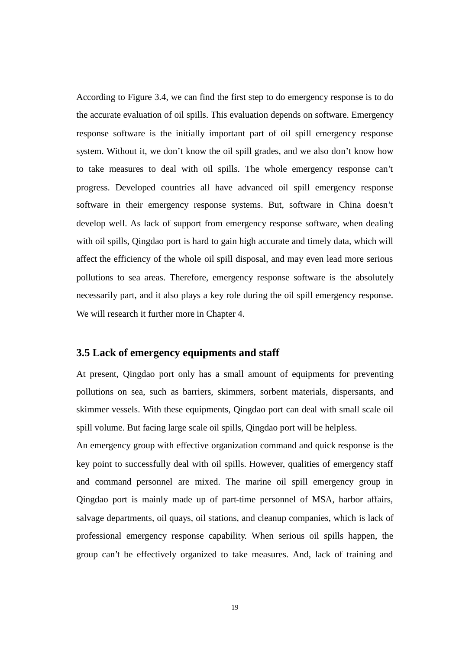According to Figure 3.4, we can find the first step to do emergency response is to do the accurate evaluation of oil spills. This evaluation depends on software. Emergency response software is the initially important part of oil spill emergency response system. Without it, we don't know the oil spill grades, and we also don't know how to take measures to deal with oil spills. The whole emergency response can't progress. Developed countries all have advanced oil spill emergency response software in their emergency response systems. But, software in China doesn't develop well. As lack of support from emergency response software, when dealing with oil spills, Oingdao port is hard to gain high accurate and timely data, which will affect the efficiency of the whole oil spill disposal, and may even lead more serious pollutions to sea areas. Therefore, emergency response software is the absolutely necessarily part, and it also plays a key role during the oil spill emergency response. We will research it further more in Chapter 4.

# **3.5 Lack of emergency equipments and staff**

At present, Qingdao port only has a small amount of equipments for preventing pollutions on sea, such as barriers, skimmers, sorbent materials, dispersants, and skimmer vessels. With these equipments, Qingdao port can deal with small scale oil spill volume. But facing large scale oil spills, Qingdao port will be helpless.

An emergency group with effective organization command and quick response is the key point to successfully deal with oil spills. However, qualities of emergency staff and command personnel are mixed. The marine oil spill emergency group in Qingdao port is mainly made up of part-time personnel of MSA, harbor affairs, salvage departments, oil quays, oil stations, and cleanup companies, which is lack of professional emergency response capability. When serious oil spills happen, the group can't be effectively organized to take measures. And, lack of training and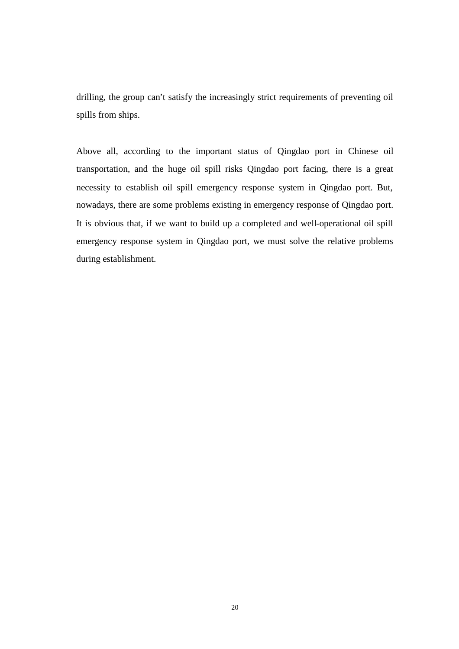drilling, the group can't satisfy the increasingly strict requirements of preventing oil spills from ships.

Above all, according to the important status of Qingdao port in Chinese oil transportation, and the huge oil spill risks Qingdao port facing, there is a great necessity to establish oil spill emergency response system in Qingdao port. But, nowadays, there are some problems existing in emergency response of Qingdao port. It is obvious that, if we want to build up a completed and well-operational oil spill emergency response system in Qingdao port, we must solve the relative problems during establishment.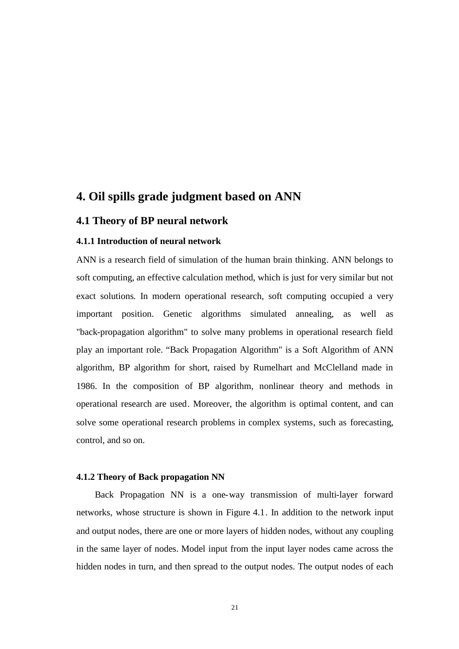# **4. Oil spills grade judgment based on ANN**

# **4.1 Theory of BP neural network**

# **4.1.1 Introduction of neural network**

ANN is a research field of simulation of the human brain thinking. ANN belongs to soft computing, an effective calculation method, which is just for very similar but not exact solutions. In modern operational research, soft computing occupied a very important position. Genetic algorithms simulated annealing, as well as "back-propagation algorithm" to solve many problems in operational research field play an important role. "Back Propagation Algorithm" is a Soft Algorithm of ANN algorithm, BP algorithm for short, raised by Rumelhart and McClelland made in 1986. In the composition of BP algorithm, nonlinear theory and methods in operational research are used. Moreover, the algorithm is optimal content, and can solve some operational research problems in complex systems, such as forecasting, control, and so on.

#### **4.1.2 Theory of Back propagation NN**

Back Propagation NN is a one-way transmission of multi-layer forward networks, whose structure is shown in Figure 4.1. In addition to the network input and output nodes, there are one or more layers of hidden nodes, without any coupling in the same layer of nodes. Model input from the input layer nodes came across the hidden nodes in turn, and then spread to the output nodes. The output nodes of each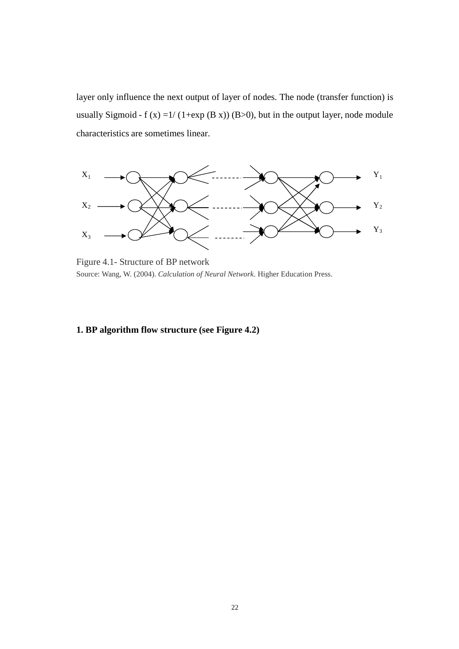layer only influence the next output of layer of nodes. The node (transfer function) is usually Sigmoid - f (x) =1/ (1+exp (B x)) (B>0), but in the output layer, node module characteristics are sometimes linear.



Figure 4.1- Structure of BP network Source: Wang, W. (2004). *Calculation of Neural Network*. Higher Education Press.

## **1. BP algorithm flow structure (see Figure 4.2)**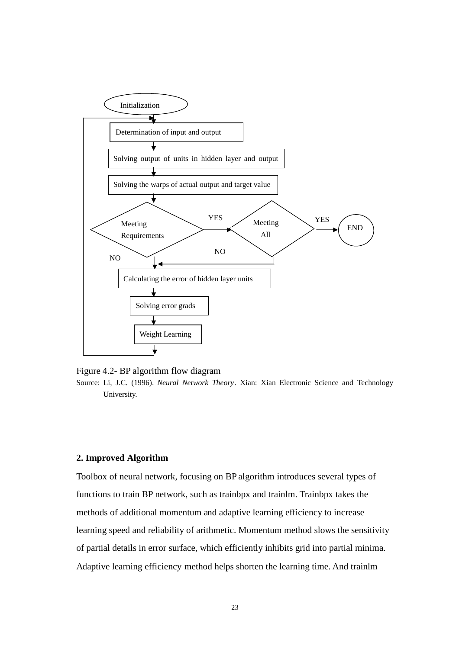

Figure 4.2- BP algorithm flow diagram

Source: Li, J.C. (1996). *Neural Network Theory*. Xian: Xian Electronic Science and Technology University.

## **2. Improved Algorithm**

Toolbox of neural network, focusing on BP algorithm introduces several types of functions to train BP network, such as trainbpx and trainlm. Trainbpx takes the methods of additional momentum and adaptive learning efficiency to increase learning speed and reliability of arithmetic. Momentum method slows the sensitivity of partial details in error surface, which efficiently inhibits grid into partial minima. Adaptive learning efficiency method helps shorten the learning time. And trainlm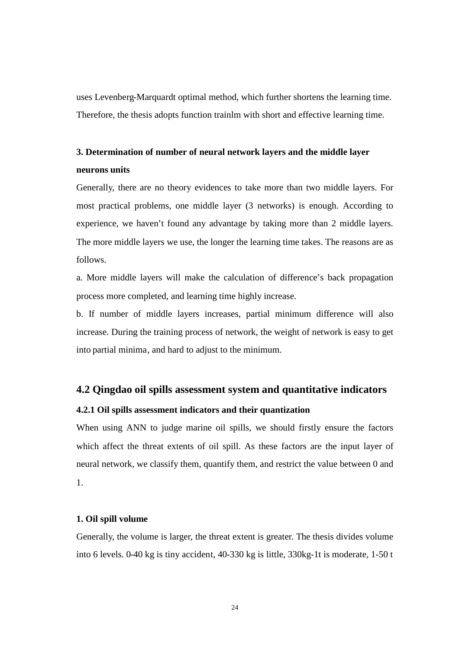uses Levenberg-Marquardt optimal method, which further shortens the learning time. Therefore, the thesis adopts function trainlm with short and effective learning time.

# **3. Determination of number of neural network layers and the middle layer neurons units**

Generally, there are no theory evidences to take more than two middle layers. For most practical problems, one middle layer (3 networks) is enough. According to experience, we haven't found any advantage by taking more than 2 middle layers. The more middle layers we use, the longer the learning time takes. The reasons are as follows.

a. More middle layers will make the calculation of difference's back propagation process more completed, and learning time highly increase.

b. If number of middle layers increases, partial minimum difference will also increase. During the training process of network, the weight of network is easy to get into partial minima, and hard to adjust to the minimum.

# **4.2 Qingdao oil spills assessment system and quantitative indicators**

# **4.2.1 Oil spills assessment indicators and their quantization**

When using ANN to judge marine oil spills, we should firstly ensure the factors which affect the threat extents of oil spill. As these factors are the input layer of neural network, we classify them, quantify them, and restrict the value between 0 and 1.

## **1. Oil spill volume**

Generally, the volume is larger, the threat extent is greater. The thesis divides volume into 6 levels. 0-40 kg is tiny accident, 40-330 kg is little, 330kg-1t is moderate, 1-50 t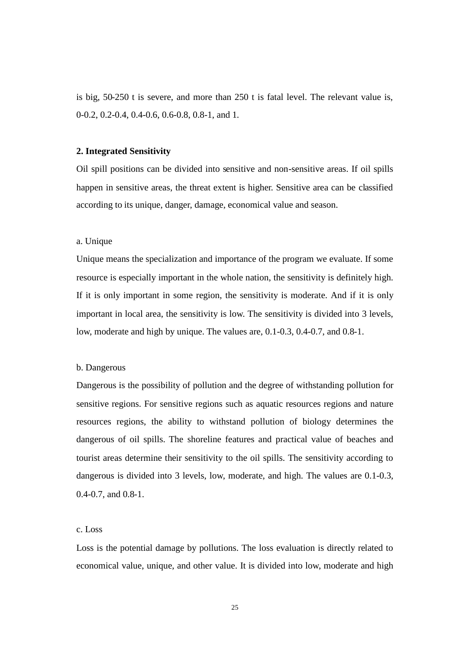is big, 50-250 t is severe, and more than 250 t is fatal level. The relevant value is, 0-0.2, 0.2-0.4, 0.4-0.6, 0.6-0.8, 0.8-1, and 1.

## **2. Integrated Sensitivity**

Oil spill positions can be divided into sensitive and non-sensitive areas. If oil spills happen in sensitive areas, the threat extent is higher. Sensitive area can be classified according to its unique, danger, damage, economical value and season.

#### a. Unique

Unique means the specialization and importance of the program we evaluate. If some resource is especially important in the whole nation, the sensitivity is definitely high. If it is only important in some region, the sensitivity is moderate. And if it is only important in local area, the sensitivity is low. The sensitivity is divided into 3 levels, low, moderate and high by unique. The values are, 0.1-0.3, 0.4-0.7, and 0.8-1.

### b. Dangerous

Dangerous is the possibility of pollution and the degree of withstanding pollution for sensitive regions. For sensitive regions such as aquatic resources regions and nature resources regions, the ability to withstand pollution of biology determines the dangerous of oil spills. The shoreline features and practical value of beaches and tourist areas determine their sensitivity to the oil spills. The sensitivity according to dangerous is divided into 3 levels, low, moderate, and high. The values are 0.1-0.3, 0.4-0.7, and 0.8-1.

## c. Loss

Loss is the potential damage by pollutions. The loss evaluation is directly related to economical value, unique, and other value. It is divided into low, moderate and high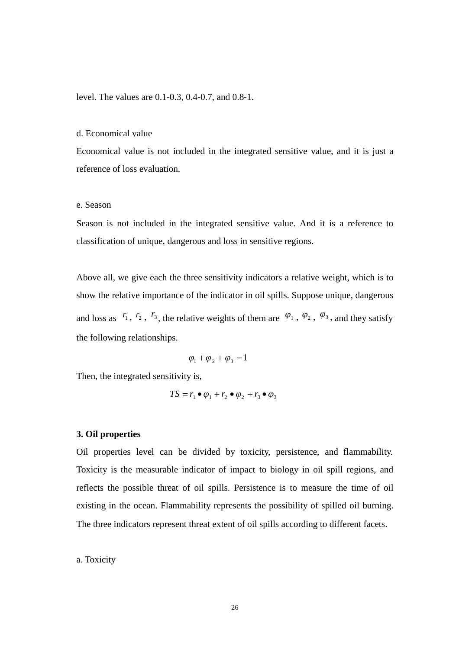level. The values are 0.1-0.3, 0.4-0.7, and 0.8-1.

## d. Economical value

Economical value is not included in the integrated sensitive value, and it is just a reference of loss evaluation.

#### e. Season

Season is not included in the integrated sensitive value. And it is a reference to classification of unique, dangerous and loss in sensitive regions.

Above all, we give each the three sensitivity indicators a relative weight, which is to show the relative importance of the indicator in oil spills. Suppose unique, dangerous and loss as  $r_1$ ,  $r_2$ ,  $r_3$ , the relative weights of them are  $\varphi_1$ ,  $\varphi_2$ ,  $\varphi_3$ , and they satisfy the following relationships.

$$
\varphi_1 + \varphi_2 + \varphi_3 = 1
$$

Then, the integrated sensitivity is,

$$
TS = r_1 \bullet \varphi_1 + r_2 \bullet \varphi_2 + r_3 \bullet \varphi_3
$$

## **3. Oil properties**

Oil properties level can be divided by toxicity, persistence, and flammability. Toxicity is the measurable indicator of impact to biology in oil spill regions, and reflects the possible threat of oil spills. Persistence is to measure the time of oil existing in the ocean. Flammability represents the possibility of spilled oil burning. The three indicators represent threat extent of oil spills according to different facets.

a. Toxicity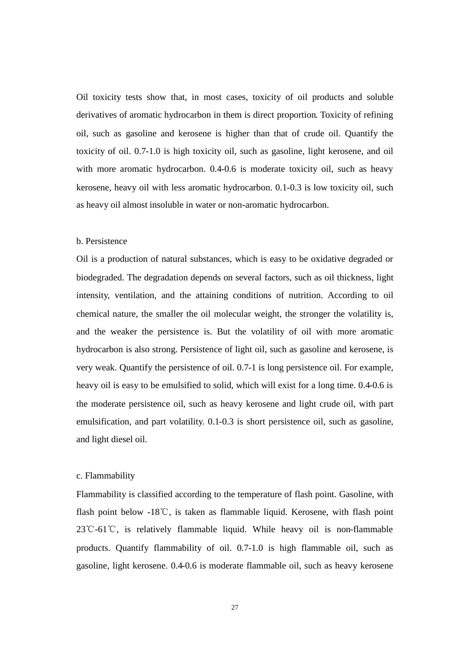Oil toxicity tests show that, in most cases, toxicity of oil products and soluble derivatives of aromatic hydrocarbon in them is direct proportion. Toxicity of refining oil, such as gasoline and kerosene is higher than that of crude oil. Quantify the toxicity of oil. 0.7-1.0 is high toxicity oil, such as gasoline, light kerosene, and oil with more aromatic hydrocarbon. 0.4-0.6 is moderate toxicity oil, such as heavy kerosene, heavy oil with less aromatic hydrocarbon. 0.1-0.3 is low toxicity oil, such as heavy oil almost insoluble in water or non-aromatic hydrocarbon.

## b. Persistence

Oil is a production of natural substances, which is easy to be oxidative degraded or biodegraded. The degradation depends on several factors, such as oil thickness, light intensity, ventilation, and the attaining conditions of nutrition. According to oil chemical nature, the smaller the oil molecular weight, the stronger the volatility is, and the weaker the persistence is. But the volatility of oil with more aromatic hydrocarbon is also strong. Persistence of light oil, such as gasoline and kerosene, is very weak. Quantify the persistence of oil. 0.7-1 is long persistence oil. For example, heavy oil is easy to be emulsified to solid, which will exist for a long time. 0.4-0.6 is the moderate persistence oil, such as heavy kerosene and light crude oil, with part emulsification, and part volatility. 0.1-0.3 is short persistence oil, such as gasoline, and light diesel oil.

#### c. Flammability

Flammability is classified according to the temperature of flash point. Gasoline, with flash point below -18℃, is taken as flammable liquid. Kerosene, with flash point 23℃-61℃, is relatively flammable liquid. While heavy oil is non-flammable products. Quantify flammability of oil. 0.7-1.0 is high flammable oil, such as gasoline, light kerosene. 0.4-0.6 is moderate flammable oil, such as heavy kerosene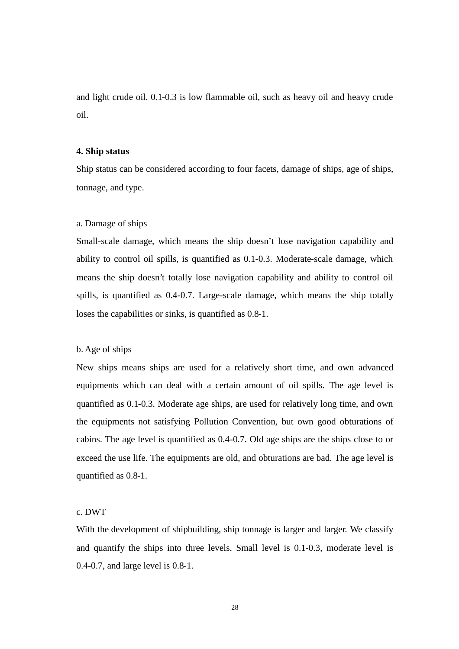and light crude oil. 0.1-0.3 is low flammable oil, such as heavy oil and heavy crude oil.

## **4. Ship status**

Ship status can be considered according to four facets, damage of ships, age of ships, tonnage, and type.

#### a. Damage of ships

Small-scale damage, which means the ship doesn't lose navigation capability and ability to control oil spills, is quantified as 0.1-0.3. Moderate-scale damage, which means the ship doesn't totally lose navigation capability and ability to control oil spills, is quantified as 0.4-0.7. Large-scale damage, which means the ship totally loses the capabilities or sinks, is quantified as 0.8-1.

## b. Age of ships

New ships means ships are used for a relatively short time, and own advanced equipments which can deal with a certain amount of oil spills. The age level is quantified as 0.1-0.3. Moderate age ships, are used for relatively long time, and own the equipments not satisfying Pollution Convention, but own good obturations of cabins. The age level is quantified as 0.4-0.7. Old age ships are the ships close to or exceed the use life. The equipments are old, and obturations are bad. The age level is quantified as 0.8-1.

# c. DWT

With the development of shipbuilding, ship tonnage is larger and larger. We classify and quantify the ships into three levels. Small level is 0.1-0.3, moderate level is 0.4-0.7, and large level is 0.8-1.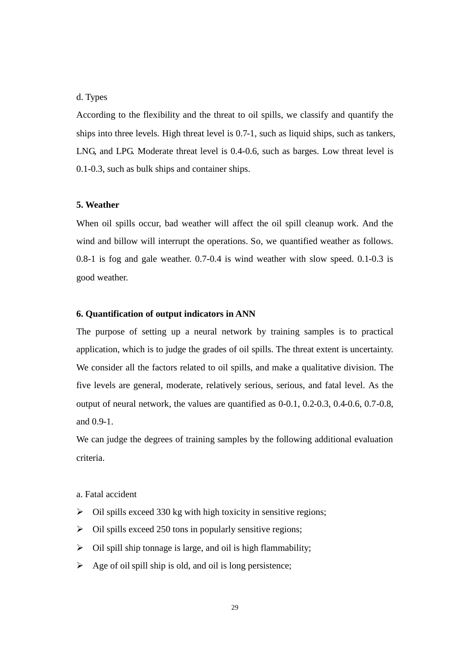#### d. Types

According to the flexibility and the threat to oil spills, we classify and quantify the ships into three levels. High threat level is 0.7-1, such as liquid ships, such as tankers, LNG, and LPG. Moderate threat level is 0.4-0.6, such as barges. Low threat level is 0.1-0.3, such as bulk ships and container ships.

#### **5. Weather**

When oil spills occur, bad weather will affect the oil spill cleanup work. And the wind and billow will interrupt the operations. So, we quantified weather as follows. 0.8-1 is fog and gale weather. 0.7-0.4 is wind weather with slow speed. 0.1-0.3 is good weather.

#### **6. Quantification of output indicators in ANN**

The purpose of setting up a neural network by training samples is to practical application, which is to judge the grades of oil spills. The threat extent is uncertainty. We consider all the factors related to oil spills, and make a qualitative division. The five levels are general, moderate, relatively serious, serious, and fatal level. As the output of neural network, the values are quantified as 0-0.1, 0.2-0.3, 0.4-0.6, 0.7-0.8, and 0.9-1.

We can judge the degrees of training samples by the following additional evaluation criteria.

a. Fatal accident

- $\triangleright$  Oil spills exceed 330 kg with high toxicity in sensitive regions;
- $\triangleright$  Oil spills exceed 250 tons in popularly sensitive regions;
- $\triangleright$  Oil spill ship tonnage is large, and oil is high flammability;
- $\triangleright$  Age of oil spill ship is old, and oil is long persistence;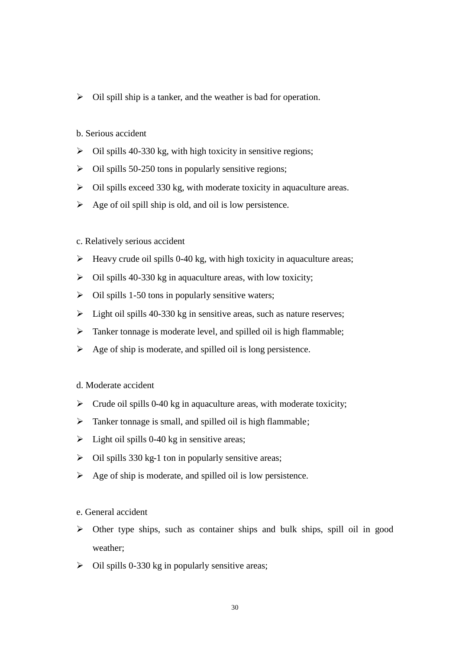$\triangleright$  Oil spill ship is a tanker, and the weather is bad for operation.

# b. Serious accident

- $\triangleright$  Oil spills 40-330 kg, with high toxicity in sensitive regions;
- $\triangleright$  Oil spills 50-250 tons in popularly sensitive regions;
- $\triangleright$  Oil spills exceed 330 kg, with moderate toxicity in aquaculture areas.
- $\triangleright$  Age of oil spill ship is old, and oil is low persistence.

# c. Relatively serious accident

- $\triangleright$  Heavy crude oil spills 0-40 kg, with high toxicity in aquaculture areas;
- $\triangleright$  Oil spills 40-330 kg in aquaculture areas, with low toxicity;
- $\triangleright$  Oil spills 1-50 tons in popularly sensitive waters;
- $\triangleright$  Light oil spills 40-330 kg in sensitive areas, such as nature reserves;
- > Tanker tonnage is moderate level, and spilled oil is high flammable;
- $\triangleright$  Age of ship is moderate, and spilled oil is long persistence.

# d. Moderate accident

- $\triangleright$  Crude oil spills 0-40 kg in aquaculture areas, with moderate toxicity;
- $\triangleright$  Tanker tonnage is small, and spilled oil is high flammable;
- $\triangleright$  Light oil spills 0-40 kg in sensitive areas;
- $\triangleright$  Oil spills 330 kg-1 ton in popularly sensitive areas;
- $\triangleright$  Age of ship is moderate, and spilled oil is low persistence.

# e. General accident

- $\triangleright$  Other type ships, such as container ships and bulk ships, spill oil in good weather;
- $\triangleright$  Oil spills 0-330 kg in popularly sensitive areas;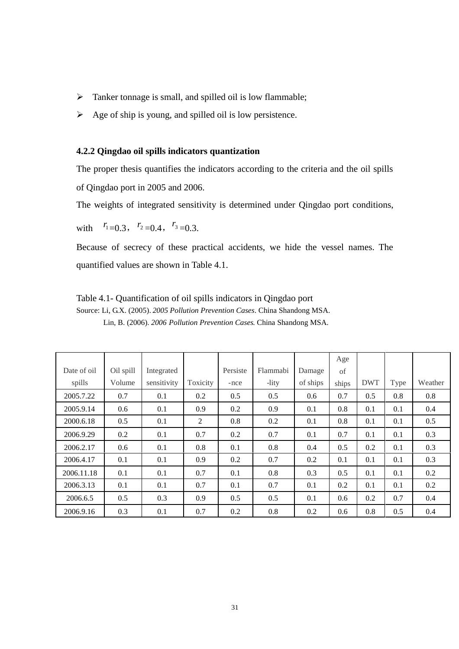- $\triangleright$  Tanker tonnage is small, and spilled oil is low flammable;
- $\triangleright$  Age of ship is young, and spilled oil is low persistence.

# **4.2.2 Qingdao oil spills indicators quantization**

The proper thesis quantifies the indicators according to the criteria and the oil spills of Qingdao port in 2005 and 2006.

The weights of integrated sensitivity is determined under Qingdao port conditions,

with  $r_1 = 0.3$ ,  $r_2 = 0.4$ ,  $r_3 = 0.3$ .

Because of secrecy of these practical accidents, we hide the vessel names. The quantified values are shown in Table 4.1.

Table 4.1- Quantification of oil spills indicators in Qingdao port Source: Li, G.X. (2005). *2005 Pollution Prevention Cases*. China Shandong MSA. Lin, B. (2006). *2006 Pollution Prevention Cases*. China Shandong MSA.

|             |           |             |          |          |          |          | Age   |            |      |         |
|-------------|-----------|-------------|----------|----------|----------|----------|-------|------------|------|---------|
| Date of oil | Oil spill | Integrated  |          | Persiste | Flammabi | Damage   | of    |            |      |         |
| spills      | Volume    | sensitivity | Toxicity | -nce     | -lity    | of ships | ships | <b>DWT</b> | Type | Weather |
| 2005.7.22   | 0.7       | 0.1         | 0.2      | 0.5      | 0.5      | 0.6      | 0.7   | 0.5        | 0.8  | 0.8     |
| 2005.9.14   | 0.6       | 0.1         | 0.9      | 0.2      | 0.9      | 0.1      | 0.8   | 0.1        | 0.1  | 0.4     |
| 2000.6.18   | 0.5       | 0.1         | 2        | 0.8      | 0.2      | 0.1      | 0.8   | 0.1        | 0.1  | 0.5     |
| 2006.9.29   | 0.2       | 0.1         | 0.7      | 0.2      | 0.7      | 0.1      | 0.7   | 0.1        | 0.1  | 0.3     |
| 2006.2.17   | 0.6       | 0.1         | 0.8      | 0.1      | 0.8      | 0.4      | 0.5   | 0.2        | 0.1  | 0.3     |
| 2006.4.17   | 0.1       | 0.1         | 0.9      | 0.2      | 0.7      | 0.2      | 0.1   | 0.1        | 0.1  | 0.3     |
| 2006.11.18  | 0.1       | 0.1         | 0.7      | 0.1      | 0.8      | 0.3      | 0.5   | 0.1        | 0.1  | 0.2     |
| 2006.3.13   | 0.1       | 0.1         | 0.7      | 0.1      | 0.7      | 0.1      | 0.2   | 0.1        | 0.1  | 0.2     |
| 2006.6.5    | 0.5       | 0.3         | 0.9      | 0.5      | 0.5      | 0.1      | 0.6   | 0.2        | 0.7  | 0.4     |
| 2006.9.16   | 0.3       | 0.1         | 0.7      | 0.2      | 0.8      | 0.2      | 0.6   | 0.8        | 0.5  | 0.4     |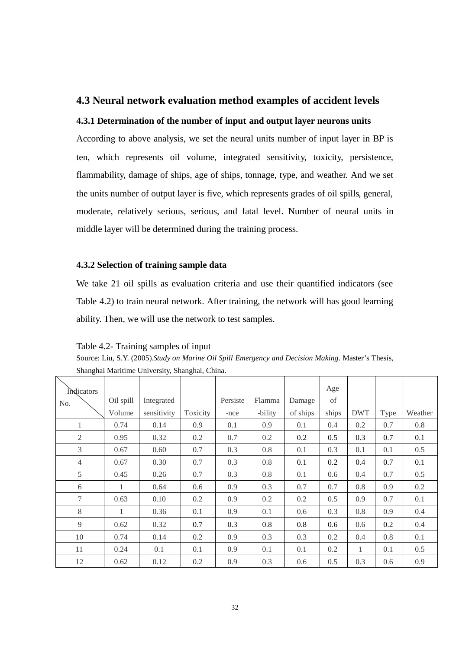# **4.3 Neural network evaluation method examples of accident levels**

#### **4.3.1 Determination of the number of input and output layer neurons units**

According to above analysis, we set the neural units number of input layer in BP is ten, which represents oil volume, integrated sensitivity, toxicity, persistence, flammability, damage of ships, age of ships, tonnage, type, and weather. And we set the units number of output layer is five, which represents grades of oil spills, general, moderate, relatively serious, serious, and fatal level. Number of neural units in middle layer will be determined during the training process.

## **4.3.2 Selection of training sample data**

We take 21 oil spills as evaluation criteria and use their quantified indicators (see Table 4.2) to train neural network. After training, the network will has good learning ability. Then, we will use the network to test samples.

Table 4.2- Training samples of input

Source: Liu, S.Y. (2005).*Study on Marine Oil Spill Emergency and Decision Making*. Master's Thesis, Shanghai Maritime University, Shanghai, China.

| Indicators     |              |             |          |          |         |          | Age   |            |      |         |
|----------------|--------------|-------------|----------|----------|---------|----------|-------|------------|------|---------|
| No.            | Oil spill    | Integrated  |          | Persiste | Flamma  | Damage   | of    |            |      |         |
|                | Volume       | sensitivity | Toxicity | -nce     | -bility | of ships | ships | <b>DWT</b> | Type | Weather |
| 1              | 0.74         | 0.14        | 0.9      | 0.1      | 0.9     | 0.1      | 0.4   | 0.2        | 0.7  | 0.8     |
| 2              | 0.95         | 0.32        | 0.2      | 0.7      | 0.2     | 0.2      | 0.5   | 0.3        | 0.7  | 0.1     |
| 3              | 0.67         | 0.60        | 0.7      | 0.3      | 0.8     | 0.1      | 0.3   | 0.1        | 0.1  | 0.5     |
| $\overline{4}$ | 0.67         | 0.30        | 0.7      | 0.3      | 0.8     | 0.1      | 0.2   | 0.4        | 0.7  | 0.1     |
| 5              | 0.45         | 0.26        | 0.7      | 0.3      | 0.8     | 0.1      | 0.6   | 0.4        | 0.7  | 0.5     |
| 6              | $\mathbf{1}$ | 0.64        | 0.6      | 0.9      | 0.3     | 0.7      | 0.7   | 0.8        | 0.9  | 0.2     |
| 7              | 0.63         | 0.10        | 0.2      | 0.9      | 0.2     | 0.2      | 0.5   | 0.9        | 0.7  | 0.1     |
| 8              | 1            | 0.36        | 0.1      | 0.9      | 0.1     | 0.6      | 0.3   | 0.8        | 0.9  | 0.4     |
| 9              | 0.62         | 0.32        | 0.7      | 0.3      | 0.8     | 0.8      | 0.6   | 0.6        | 0.2  | 0.4     |
| 10             | 0.74         | 0.14        | 0.2      | 0.9      | 0.3     | 0.3      | 0.2   | 0.4        | 0.8  | 0.1     |
| 11             | 0.24         | 0.1         | 0.1      | 0.9      | 0.1     | 0.1      | 0.2   | 1          | 0.1  | 0.5     |
| 12             | 0.62         | 0.12        | 0.2      | 0.9      | 0.3     | 0.6      | 0.5   | 0.3        | 0.6  | 0.9     |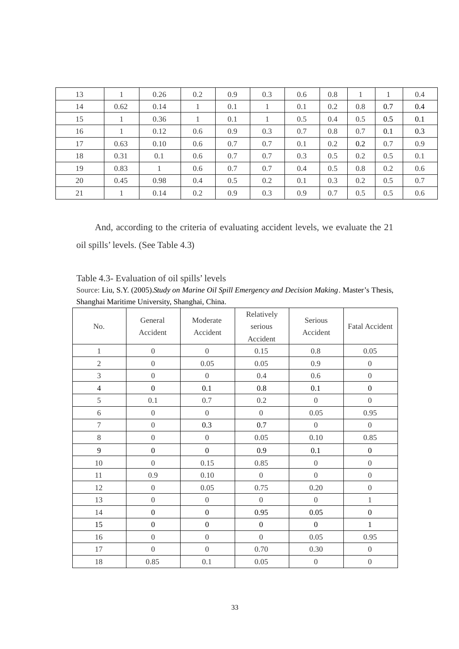| 13 |      | 0.26 | 0.2 | 0.9 | 0.3 | $0.6^{\circ}$ | 0.8 |     |     | 0.4 |
|----|------|------|-----|-----|-----|---------------|-----|-----|-----|-----|
| 14 | 0.62 | 0.14 |     | 0.1 |     | 0.1           | 0.2 | 0.8 | 0.7 | 0.4 |
| 15 |      | 0.36 |     | 0.1 |     | 0.5           | 0.4 | 0.5 | 0.5 | 0.1 |
| 16 |      | 0.12 | 0.6 | 0.9 | 0.3 | 0.7           | 0.8 | 0.7 | 0.1 | 0.3 |
| 17 | 0.63 | 0.10 | 0.6 | 0.7 | 0.7 | 0.1           | 0.2 | 0.2 | 0.7 | 0.9 |
| 18 | 0.31 | 0.1  | 0.6 | 0.7 | 0.7 | 0.3           | 0.5 | 0.2 | 0.5 | 0.1 |
| 19 | 0.83 |      | 0.6 | 0.7 | 0.7 | 0.4           | 0.5 | 0.8 | 0.2 | 0.6 |
| 20 | 0.45 | 0.98 | 0.4 | 0.5 | 0.2 | 0.1           | 0.3 | 0.2 | 0.5 | 0.7 |
| 21 |      | 0.14 | 0.2 | 0.9 | 0.3 | 0.9           | 0.7 | 0.5 | 0.5 | 0.6 |

And, according to the criteria of evaluating accident levels, we evaluate the 21 oil spills'levels. (See Table 4.3)

Table 4.3- Evaluation of oil spills'levels

Source: Liu, S.Y. (2005).*Study on Marine Oil Spill Emergency and Decision Making*. Master's Thesis, Shanghai Maritime University, Shanghai, China.

| No.              | General<br>Accident | Moderate<br>Accident | Relatively<br>serious<br>Accident | Serious<br><b>Fatal Accident</b><br>Accident |                  |
|------------------|---------------------|----------------------|-----------------------------------|----------------------------------------------|------------------|
| $\mathbf{1}$     | $\boldsymbol{0}$    | $\boldsymbol{0}$     | 0.15                              | 0.8                                          | 0.05             |
| $\mathbf{2}$     | $\mathbf{0}$        | 0.05                 | 0.05                              | 0.9                                          | $\boldsymbol{0}$ |
| 3                | $\mathbf{0}$        | $\mathbf{0}$         | 0.4                               | 0.6                                          | $\boldsymbol{0}$ |
| $\overline{4}$   | $\boldsymbol{0}$    | 0.1                  | 0.8                               | 0.1                                          | $\boldsymbol{0}$ |
| 5                | 0.1                 | 0.7                  | 0.2                               | $\mathbf{0}$                                 | $\overline{0}$   |
| 6                | $\mathbf{0}$        | $\mathbf{0}$         | $\overline{0}$                    | 0.05                                         | 0.95             |
| $\boldsymbol{7}$ | $\mathbf{0}$        | 0.3                  | 0.7                               | $\boldsymbol{0}$                             | $\boldsymbol{0}$ |
| 8                | $\mathbf{0}$        | $\boldsymbol{0}$     | 0.05                              | 0.10                                         | 0.85             |
| 9                | $\boldsymbol{0}$    | $\boldsymbol{0}$     | 0.9                               | 0.1                                          | $\boldsymbol{0}$ |
| 10               | $\overline{0}$      | 0.15                 | 0.85                              | $\boldsymbol{0}$                             | $\boldsymbol{0}$ |
| 11               | 0.9                 | 0.10                 | $\boldsymbol{0}$                  | $\boldsymbol{0}$                             | $\boldsymbol{0}$ |
| 12               | $\boldsymbol{0}$    | 0.05                 | 0.75                              | 0.20                                         | $\boldsymbol{0}$ |
| 13               | $\mathbf{0}$        | $\mathbf{0}$         | $\overline{0}$                    | $\mathbf{0}$                                 | $\mathbf{1}$     |
| 14               | $\boldsymbol{0}$    | $\boldsymbol{0}$     | 0.95                              | 0.05                                         | $\boldsymbol{0}$ |
| 15               | $\boldsymbol{0}$    | $\boldsymbol{0}$     | $\boldsymbol{0}$                  | $\boldsymbol{0}$                             | $\mathbf{1}$     |
| 16               | $\boldsymbol{0}$    | $\boldsymbol{0}$     | $\boldsymbol{0}$                  | 0.05                                         | 0.95             |
| 17               | $\mathbf{0}$        | $\boldsymbol{0}$     | 0.70                              | 0.30                                         | $\boldsymbol{0}$ |
| 18               | 0.85                | 0.1                  | 0.05                              | $\boldsymbol{0}$                             | $\boldsymbol{0}$ |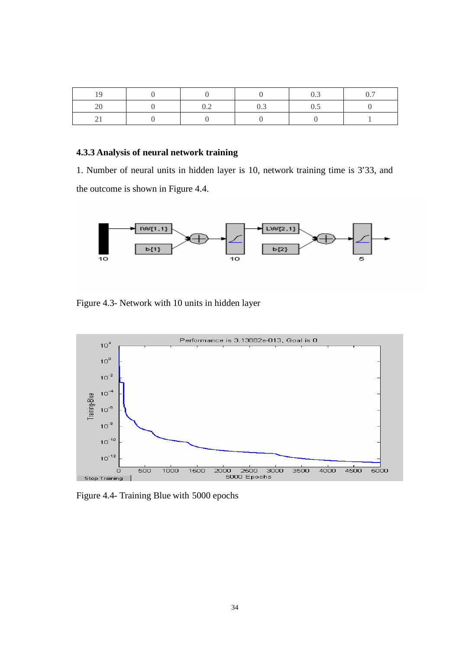|     |                               | $\cup \cdot \cup$ |  |
|-----|-------------------------------|-------------------|--|
|     | $\mathsf{U} \cdot \mathsf{L}$ | $\sim$ $\epsilon$ |  |
| - 1 |                               |                   |  |

# **4.3.3 Analysis of neural network training**

1. Number of neural units in hidden layer is 10, network training time is 3'33, and the outcome is shown in Figure 4.4.



Figure 4.3- Network with 10 units in hidden layer



Figure 4.4- Training Blue with 5000 epochs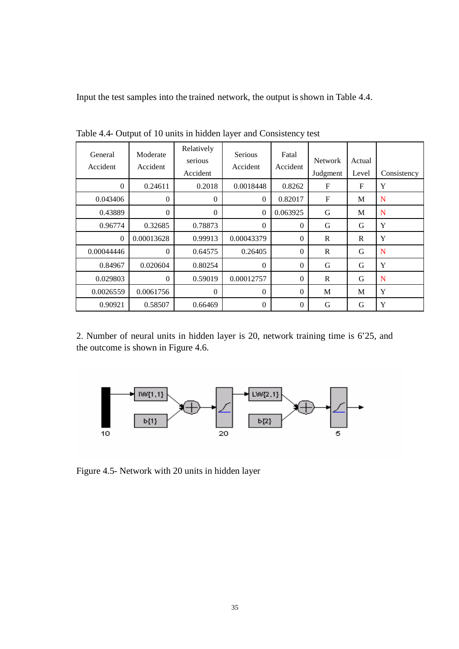Input the test samples into the trained network, the output isshown in Table 4.4.

| General<br>Accident | Moderate<br>Accident | Relatively<br>serious<br>Accident | <b>Serious</b><br>Accident | Fatal<br>Accident | <b>Network</b><br>Judgment | Actual<br>Level | Consistency |
|---------------------|----------------------|-----------------------------------|----------------------------|-------------------|----------------------------|-----------------|-------------|
| $\theta$            | 0.24611              | 0.2018                            | 0.0018448                  | 0.8262            | $\mathbf{F}$               | F               | Y           |
| 0.043406            | $\mathbf{0}$         | $\theta$                          | $\theta$                   | 0.82017           | $\mathbf{F}$               | M               | N           |
| 0.43889             | $\mathbf{0}$         | $\overline{0}$                    | $\overline{0}$             | 0.063925          | G                          | M               | N           |
| 0.96774             | 0.32685              | 0.78873                           | $\theta$                   | $\Omega$          | G                          | G               | Y           |
| $\theta$            | 0.00013628           | 0.99913                           | 0.00043379                 | $\theta$          | $\mathbb{R}$               | $\mathsf{R}$    | Y           |
| 0.00044446          | $\Omega$             | 0.64575                           | 0.26405                    | $\Omega$          | R                          | G               | N           |
| 0.84967             | 0.020604             | 0.80254                           | $\theta$                   | $\theta$          | G                          | G               | Y           |
| 0.029803            | $\Omega$             | 0.59019                           | 0.00012757                 | $\Omega$          | $\mathbf R$                | G               | N           |
| 0.0026559           | 0.0061756            | $\theta$                          | $\theta$                   | $\Omega$          | M                          | M               | Y           |
| 0.90921             | 0.58507              | 0.66469                           | $\theta$                   | $\theta$          | G                          | G               | Y           |

Table 4.4- Output of 10 units in hidden layer and Consistency test

2. Number of neural units in hidden layer is 20, network training time is 6'25, and the outcome is shown in Figure 4.6.



Figure 4.5- Network with 20 units in hidden layer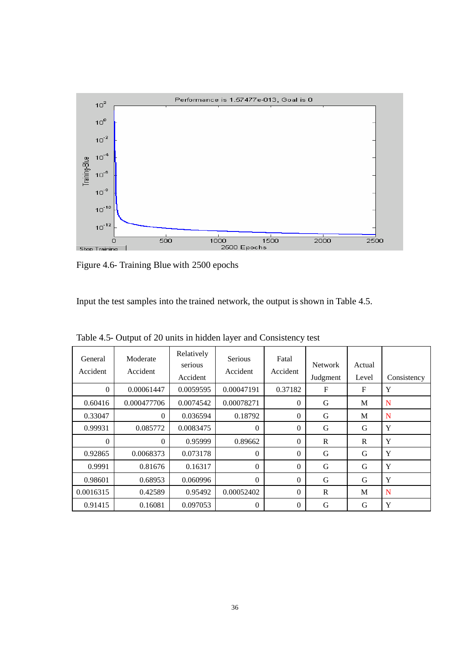

Figure 4.6- Training Blue with 2500 epochs

Input the test samples into the trained network, the output is shown in Table 4.5.

| General<br>Accident | Moderate<br>Accident | Relatively<br>serious<br>Accident | <b>Serious</b><br>Accident | Fatal<br>Accident | <b>Network</b><br>Judgment | Actual<br>Level | Consistency |
|---------------------|----------------------|-----------------------------------|----------------------------|-------------------|----------------------------|-----------------|-------------|
| $\Omega$            | 0.00061447           | 0.0059595                         | 0.00047191                 | 0.37182           | F                          | $_{\rm F}$      | Y           |
| 0.60416             | 0.000477706          | 0.0074542                         | 0.00078271                 | $\Omega$          | G                          | M               | N           |
| 0.33047             | $\theta$             | 0.036594                          | 0.18792                    | $\theta$          | G                          | M               | N           |
| 0.99931             | 0.085772             | 0.0083475                         | $\overline{0}$             | $\theta$          | G                          | G               | Y           |
| $\Omega$            | $\overline{0}$       | 0.95999                           | 0.89662                    | $\theta$          | $\mathsf{R}$               | R               | Y           |
| 0.92865             | 0.0068373            | 0.073178                          | $\Omega$                   | $\theta$          | G                          | G               | Y           |
| 0.9991              | 0.81676              | 0.16317                           | $\Omega$                   | $\Omega$          | G                          | G               | Y           |
| 0.98601             | 0.68953              | 0.060996                          | $\Omega$                   | $\theta$          | G                          | G               | Y           |
| 0.0016315           | 0.42589              | 0.95492                           | 0.00052402                 | $\theta$          | $\mathsf{R}$               | M               | N           |
| 0.91415             | 0.16081              | 0.097053                          | $\Omega$                   | $\theta$          | G                          | G               | Y           |

Table 4.5- Output of 20 units in hidden layer and Consistency test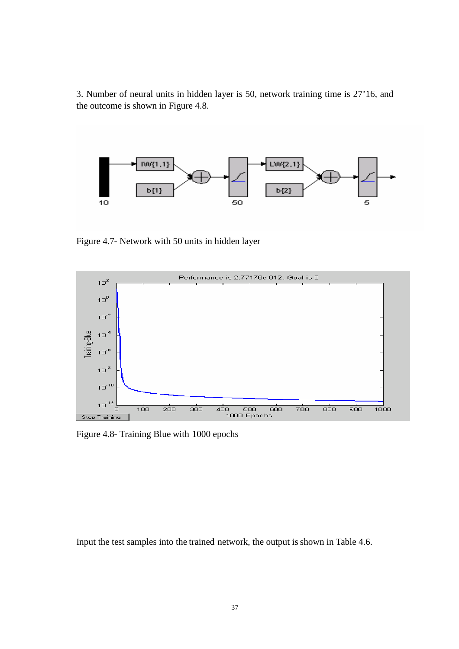3. Number of neural units in hidden layer is 50, network training time is 27'16, and the outcome is shown in Figure 4.8.



Figure 4.7- Network with 50 units in hidden layer



Figure 4.8- Training Blue with 1000 epochs

Input the test samples into the trained network, the output isshown in Table 4.6.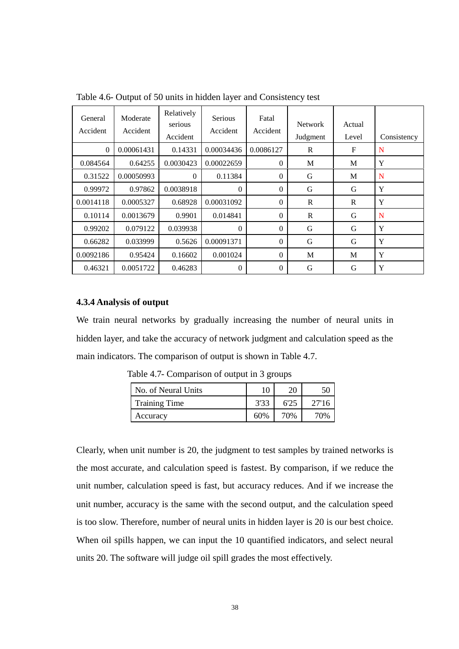| General<br>Accident | Moderate<br>Accident | Relatively<br>serious<br>Accident | <b>Serious</b><br>Accident | Fatal<br>Accident | <b>Network</b><br>Judgment | Actual<br>Level | Consistency |
|---------------------|----------------------|-----------------------------------|----------------------------|-------------------|----------------------------|-----------------|-------------|
| $\mathbf{0}$        | 0.00061431           | 0.14331                           | 0.00034436                 | 0.0086127         | $\mathbb{R}$               | F               | N           |
| 0.084564            | 0.64255              | 0.0030423                         | 0.00022659                 | $\theta$          | M                          | M               | Y           |
| 0.31522             | 0.00050993           | $\theta$                          | 0.11384                    | $\overline{0}$    | G                          | M               | N           |
| 0.99972             | 0.97862              | 0.0038918                         | $\Omega$                   | $\theta$          | G                          | G               | Y           |
| 0.0014118           | 0.0005327            | 0.68928                           | 0.00031092                 | $\boldsymbol{0}$  | R                          | R               | Y           |
| 0.10114             | 0.0013679            | 0.9901                            | 0.014841                   | $\theta$          | R                          | G               | N           |
| 0.99202             | 0.079122             | 0.039938                          | $\Omega$                   | $\theta$          | G                          | G               | Y           |
| 0.66282             | 0.033999             | 0.5626                            | 0.00091371                 | $\theta$          | G                          | G               | Y           |
| 0.0092186           | 0.95424              | 0.16602                           | 0.001024                   | $\theta$          | M                          | M               | Y           |
| 0.46321             | 0.0051722            | 0.46283                           | $\Omega$                   | $\theta$          | G                          | G               | Y           |

Table 4.6- Output of 50 units in hidden layer and Consistency test

#### **4.3.4 Analysis of output**

We train neural networks by gradually increasing the number of neural units in hidden layer, and take the accuracy of network judgment and calculation speed as the main indicators. The comparison of output is shown in Table 4.7.

Table 4.7- Comparison of output in 3 groups

| No. of Neural Units  |      | ാറ   |       |
|----------------------|------|------|-------|
| <b>Training Time</b> | 3'33 | 6'25 | 27'16 |
| Accuracy             | 60%  | 70%  | 70%   |

Clearly, when unit number is 20, the judgment to test samples by trained networks is the most accurate, and calculation speed is fastest. By comparison, if we reduce the unit number, calculation speed is fast, but accuracy reduces. And if we increase the unit number, accuracy is the same with the second output, and the calculation speed is too slow. Therefore, number of neural units in hidden layer is 20 is our best choice. When oil spills happen, we can input the 10 quantified indicators, and select neural units 20. The software will judge oil spill grades the most effectively.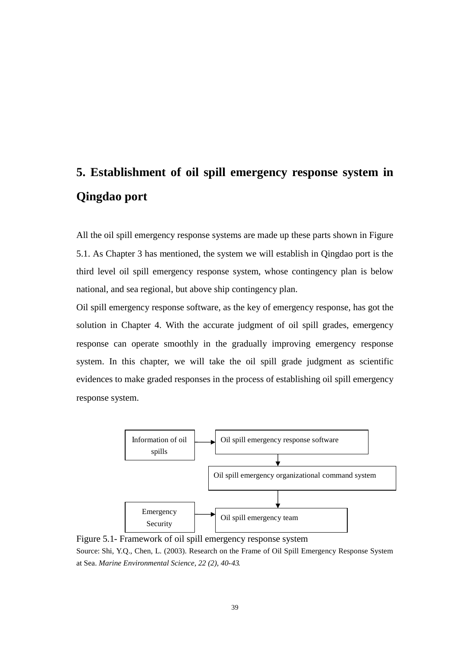# **5. Establishment of oil spill emergency response system in Qingdao port**

All the oil spill emergency response systems are made up these parts shown in Figure 5.1. As Chapter 3 has mentioned, the system we will establish in Qingdao port is the third level oil spill emergency response system, whose contingency plan is below national, and sea regional, but above ship contingency plan.

Oil spill emergency response software, as the key of emergency response, has got the solution in Chapter 4. With the accurate judgment of oil spill grades, emergency response can operate smoothly in the gradually improving emergency response system. In this chapter, we will take the oil spill grade judgment as scientific evidences to make graded responses in the process of establishing oil spill emergency response system.



Figure 5.1- Framework of oil spill emergency response system

Source: Shi, Y.Q., Chen, L. (2003). Research on the Frame of Oil Spill Emergency Response System at Sea. *Marine Environmental Science, 22 (2), 40-43*.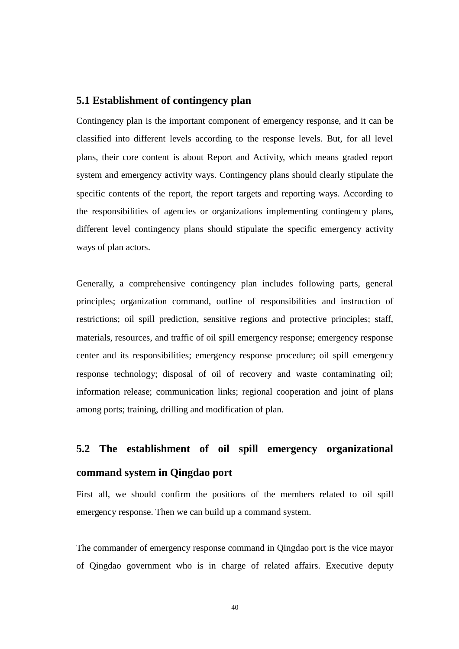# **5.1 Establishment of contingency plan**

Contingency plan is the important component of emergency response, and it can be classified into different levels according to the response levels. But, for all level plans, their core content is about Report and Activity, which means graded report system and emergency activity ways. Contingency plans should clearly stipulate the specific contents of the report, the report targets and reporting ways. According to the responsibilities of agencies or organizations implementing contingency plans, different level contingency plans should stipulate the specific emergency activity ways of plan actors.

Generally, a comprehensive contingency plan includes following parts, general principles; organization command, outline of responsibilities and instruction of restrictions; oil spill prediction, sensitive regions and protective principles; staff, materials, resources, and traffic of oil spill emergency response; emergency response center and its responsibilities; emergency response procedure; oil spill emergency response technology; disposal of oil of recovery and waste contaminating oil; information release; communication links; regional cooperation and joint of plans among ports; training, drilling and modification of plan.

# **5.2 The establishment of oil spill emergency organizational command system in Qingdao port**

First all, we should confirm the positions of the members related to oil spill emergency response. Then we can build up a command system.

The commander of emergency response command in Qingdao port is the vice mayor of Qingdao government who is in charge of related affairs. Executive deputy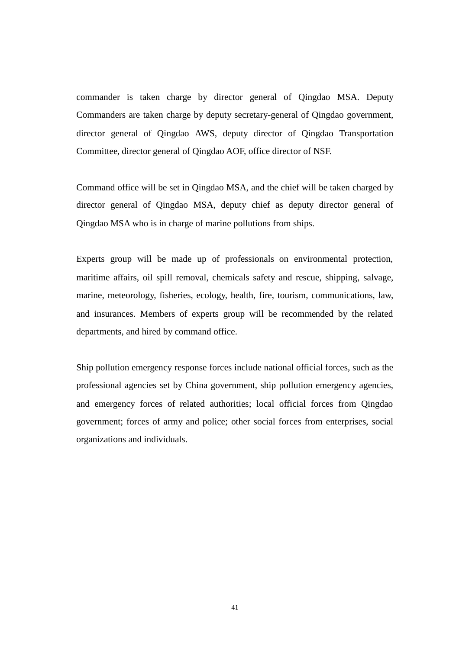commander is taken charge by director general of Qingdao MSA. Deputy Commanders are taken charge by deputy secretary-general of Qingdao government, director general of Qingdao AWS, deputy director of Qingdao Transportation Committee, director general of Qingdao AOF, office director of NSF.

Command office will be set in Qingdao MSA, and the chief will be taken charged by director general of Qingdao MSA, deputy chief as deputy director general of Qingdao MSA who is in charge of marine pollutions from ships.

Experts group will be made up of professionals on environmental protection, maritime affairs, oil spill removal, chemicals safety and rescue, shipping, salvage, marine, meteorology, fisheries, ecology, health, fire, tourism, communications, law, and insurances. Members of experts group will be recommended by the related departments, and hired by command office.

Ship pollution emergency response forces include national official forces, such as the professional agencies set by China government, ship pollution emergency agencies, and emergency forces of related authorities; local official forces from Qingdao government; forces of army and police; other social forces from enterprises, social organizations and individuals.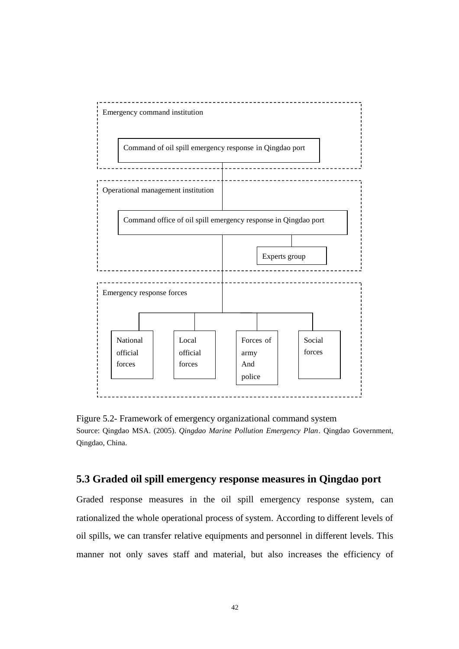

Figure 5.2- Framework of emergency organizational command system Source: Qingdao MSA. (2005). *Qingdao Marine Pollution Emergency Plan*. Qingdao Government, Qingdao, China.

# **5.3 Graded oil spill emergency response measures in Qingdao port**

Graded response measures in the oil spill emergency response system, can rationalized the whole operational process of system. According to different levels of oil spills, we can transfer relative equipments and personnel in different levels. This manner not only saves staff and material, but also increases the efficiency of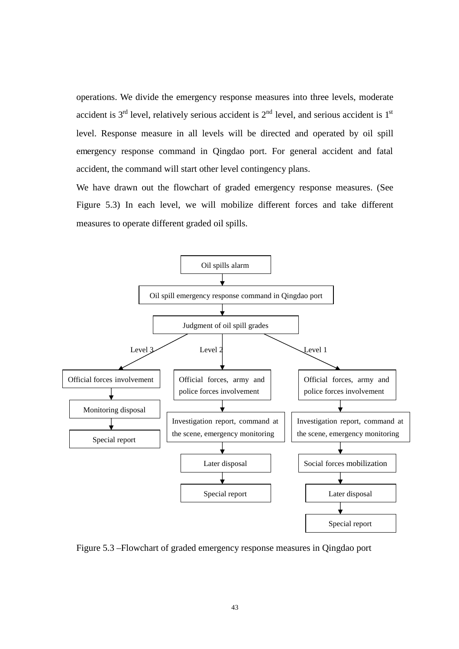operations. We divide the emergency response measures into three levels, moderate accident is  $3<sup>rd</sup>$  level, relatively serious accident is  $2<sup>nd</sup>$  level, and serious accident is  $1<sup>st</sup>$ level. Response measure in all levels will be directed and operated by oil spill emergency response command in Qingdao port. For general accident and fatal accident, the command will start other level contingency plans.

We have drawn out the flowchart of graded emergency response measures. (See Figure 5.3) In each level, we will mobilize different forces and take different measures to operate different graded oil spills.



Figure 5.3 –Flowchart of graded emergency response measures in Qingdao port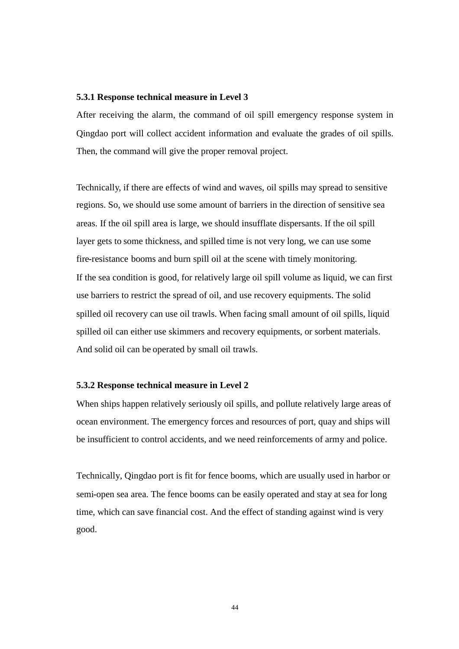#### **5.3.1 Response technical measure in Level 3**

After receiving the alarm, the command of oil spill emergency response system in Qingdao port will collect accident information and evaluate the grades of oil spills. Then, the command will give the proper removal project.

Technically, if there are effects of wind and waves, oil spills may spread to sensitive regions. So, we should use some amount of barriers in the direction of sensitive sea areas. If the oil spill area is large, we should insufflate dispersants. If the oil spill layer gets to some thickness, and spilled time is not very long, we can use some fire-resistance booms and burn spill oil at the scene with timely monitoring. If the sea condition is good, for relatively large oil spill volume as liquid, we can first use barriers to restrict the spread of oil, and use recovery equipments. The solid spilled oil recovery can use oil trawls. When facing small amount of oil spills, liquid spilled oil can either use skimmers and recovery equipments, or sorbent materials. And solid oil can be operated by small oil trawls.

### **5.3.2 Response technical measure in Level 2**

When ships happen relatively seriously oil spills, and pollute relatively large areas of ocean environment. The emergency forces and resources of port, quay and ships will be insufficient to control accidents, and we need reinforcements of army and police.

Technically, Qingdao port is fit for fence booms, which are usually used in harbor or semi-open sea area. The fence booms can be easily operated and stay at sea for long time, which can save financial cost. And the effect of standing against wind is very good.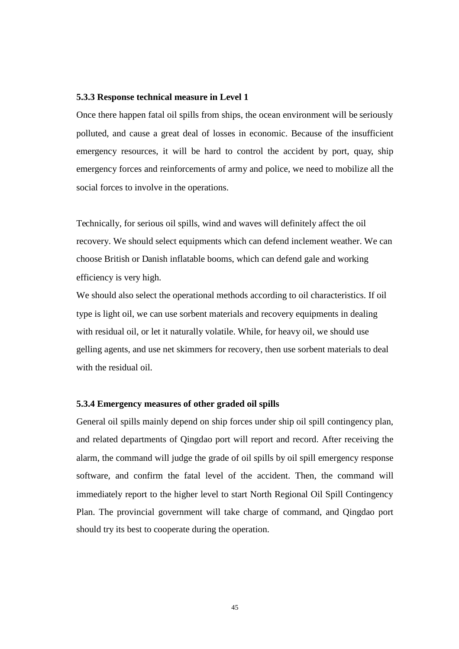#### **5.3.3 Response technical measure in Level 1**

Once there happen fatal oil spills from ships, the ocean environment will be seriously polluted, and cause a great deal of losses in economic. Because of the insufficient emergency resources, it will be hard to control the accident by port, quay, ship emergency forces and reinforcements of army and police, we need to mobilize all the social forces to involve in the operations.

Technically, for serious oil spills, wind and waves will definitely affect the oil recovery. We should select equipments which can defend inclement weather. We can choose British or Danish inflatable booms, which can defend gale and working efficiency is very high.

We should also select the operational methods according to oil characteristics. If oil type is light oil, we can use sorbent materials and recovery equipments in dealing with residual oil, or let it naturally volatile. While, for heavy oil, we should use gelling agents, and use net skimmers for recovery, then use sorbent materials to deal with the residual oil.

## **5.3.4 Emergency measures of other graded oil spills**

General oil spills mainly depend on ship forces under ship oil spill contingency plan, and related departments of Qingdao port will report and record. After receiving the alarm, the command will judge the grade of oil spills by oil spill emergency response software, and confirm the fatal level of the accident. Then, the command will immediately report to the higher level to start North Regional Oil Spill Contingency Plan. The provincial government will take charge of command, and Qingdao port should try its best to cooperate during the operation.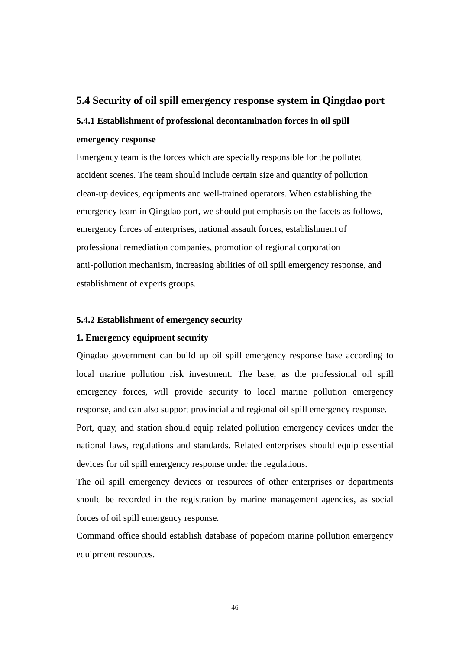# **5.4 Security of oil spill emergency response system in Qingdao port**

# **5.4.1 Establishment of professional decontamination forces in oil spill emergency response**

Emergency team is the forces which are specially responsible for the polluted accident scenes. The team should include certain size and quantity of pollution clean-up devices, equipments and well-trained operators. When establishing the emergency team in Qingdao port, we should put emphasis on the facets as follows, emergency forces of enterprises, national assault forces, establishment of professional remediation companies, promotion of regional corporation anti-pollution mechanism, increasing abilities of oil spill emergency response, and establishment of experts groups.

## **5.4.2 Establishment of emergency security**

### **1. Emergency equipment security**

Qingdao government can build up oil spill emergency response base according to local marine pollution risk investment. The base, as the professional oil spill emergency forces, will provide security to local marine pollution emergency response, and can also support provincial and regional oil spill emergency response.

Port, quay, and station should equip related pollution emergency devices under the national laws, regulations and standards. Related enterprises should equip essential devices for oil spill emergency response under the regulations.

The oil spill emergency devices or resources of other enterprises or departments should be recorded in the registration by marine management agencies, as social forces of oil spill emergency response.

Command office should establish database of popedom marine pollution emergency equipment resources.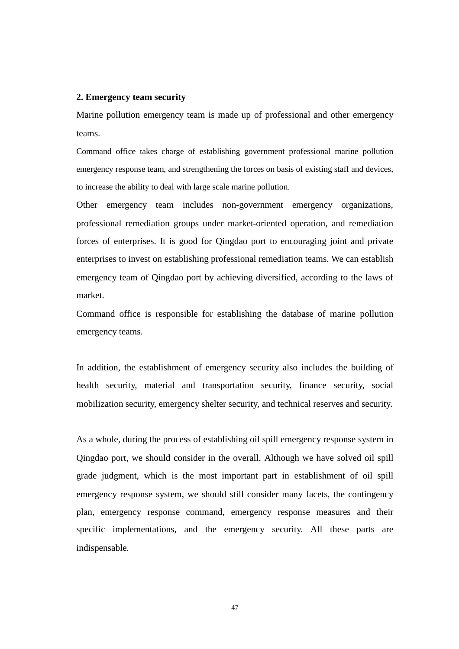#### **2. Emergency team security**

Marine pollution emergency team is made up of professional and other emergency teams.

Command office takes charge of establishing government professional marine pollution emergency response team, and strengthening the forces on basis of existing staff and devices, to increase the ability to deal with large scale marine pollution.

Other emergency team includes non-government emergency organizations, professional remediation groups under market-oriented operation, and remediation forces of enterprises. It is good for Qingdao port to encouraging joint and private enterprises to invest on establishing professional remediation teams. We can establish emergency team of Qingdao port by achieving diversified, according to the laws of market.

Command office is responsible for establishing the database of marine pollution emergency teams.

In addition, the establishment of emergency security also includes the building of health security, material and transportation security, finance security, social mobilization security, emergency shelter security, and technical reserves and security.

As a whole, during the process of establishing oil spill emergency response system in Qingdao port, we should consider in the overall. Although we have solved oil spill grade judgment, which is the most important part in establishment of oil spill emergency response system, we should still consider many facets, the contingency plan, emergency response command, emergency response measures and their specific implementations, and the emergency security. All these parts are indispensable.

47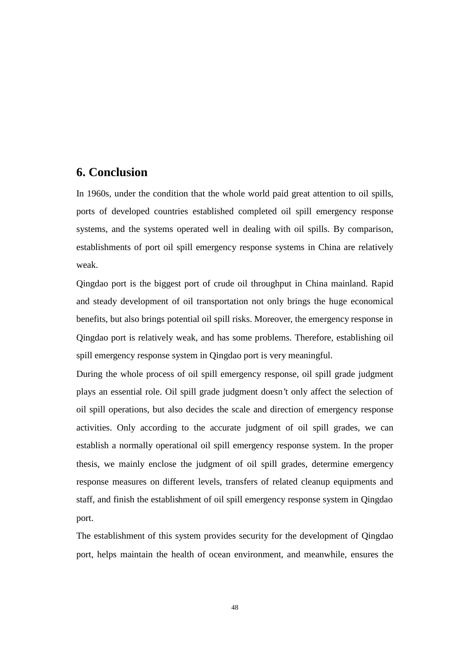# **6. Conclusion**

In 1960s, under the condition that the whole world paid great attention to oil spills, ports of developed countries established completed oil spill emergency response systems, and the systems operated well in dealing with oil spills. By comparison, establishments of port oil spill emergency response systems in China are relatively weak.

Qingdao port is the biggest port of crude oil throughput in China mainland. Rapid and steady development of oil transportation not only brings the huge economical benefits, but also brings potential oil spill risks. Moreover, the emergency response in Qingdao port is relatively weak, and has some problems. Therefore, establishing oil spill emergency response system in Qingdao port is very meaningful.

During the whole process of oil spill emergency response, oil spill grade judgment plays an essential role. Oil spill grade judgment doesn't only affect the selection of oil spill operations, but also decides the scale and direction of emergency response activities. Only according to the accurate judgment of oil spill grades, we can establish a normally operational oil spill emergency response system. In the proper thesis, we mainly enclose the judgment of oil spill grades, determine emergency response measures on different levels, transfers of related cleanup equipments and staff, and finish the establishment of oil spill emergency response system in Qingdao port.

The establishment of this system provides security for the development of Qingdao port, helps maintain the health of ocean environment, and meanwhile, ensures the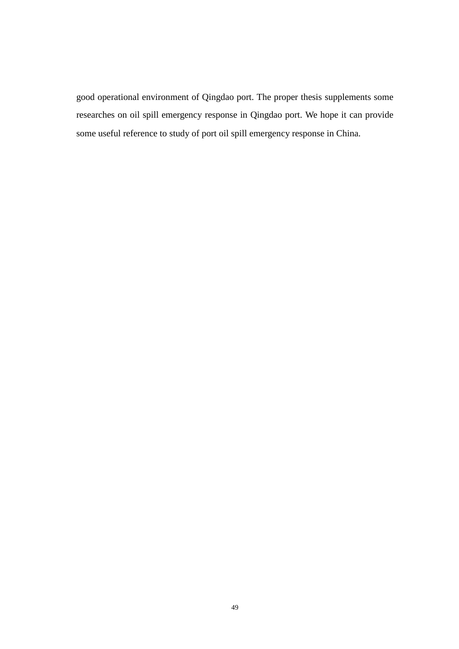good operational environment of Qingdao port. The proper thesis supplements some researches on oil spill emergency response in Qingdao port. We hope it can provide some useful reference to study of port oil spill emergency response in China.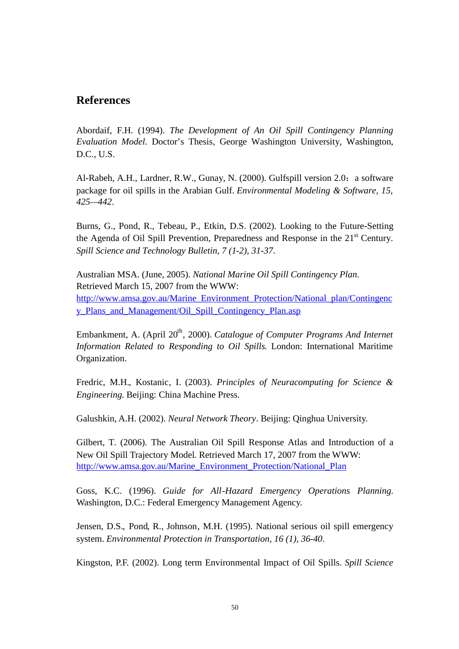# **References**

Abordaif, F.H. (1994). *The Development of An Oil Spill Contingency Planning Evaluation Model*. Doctor's Thesis, George Washington University, Washington, D.C., U.S.

Al-Rabeh, A.H., Lardner, R.W., Gunay, N. (2000). Gulfspill version 2.0: a software package for oil spills in the Arabian Gulf. *Environmental Modeling & Software, 15, 425—442*.

Burns, G., Pond, R., Tebeau, P., Etkin, D.S. (2002). Looking to the Future-Setting the Agenda of Oil Spill Prevention, Preparedness and Response in the 21st Century. *Spill Science and Technology Bulletin, 7 (1-2), 31-37*.

Australian MSA. (June, 2005). *National Marine Oil Spill Contingency Plan*. Retrieved March 15, 2007 from the WWW: http://www.amsa.gov.au/Marine\_Environment\_Protection/National\_plan/Contingenc y\_Plans\_and\_Management/Oil\_Spill\_Contingency\_Plan.asp

Embankment, A. (April 20<sup>th</sup>, 2000). *Catalogue of Computer Programs And Internet Information Related to Responding to Oil Spills*. London: International Maritime Organization.

Fredric, M.H., Kostanic, I. (2003). *Principles of Neuracomputing for Science & Engineering*. Beijing: China Machine Press.

Galushkin, A.H. (2002). *Neural Network Theory*. Beijing: Qinghua University.

Gilbert, T. (2006). The Australian Oil Spill Response Atlas and Introduction of a New Oil Spill Trajectory Model. Retrieved March 17, 2007 from the WWW: http://www.amsa.gov.au/Marine\_Environment\_Protection/National\_Plan

Goss, K.C. (1996). *Guide for All-Hazard Emergency Operations Planning*. Washington, D.C.: Federal Emergency Management Agency.

Jensen, D.S., Pond, R., Johnson, M.H. (1995). National serious oil spill emergency system. *Environmental Protection in Transportation, 16 (1), 36-40*.

Kingston, P.F. (2002). Long term Environmental Impact of Oil Spills. *Spill Science*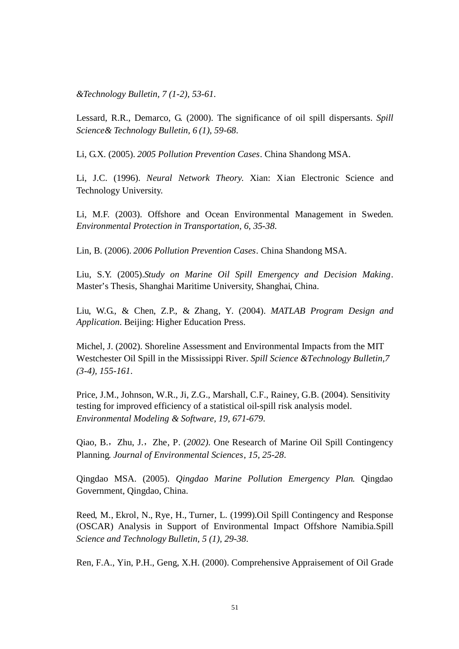*&Technology Bulletin, 7 (1-2), 53-61*.

Lessard, R.R., Demarco, G. (2000). The significance of oil spill dispersants. *Spill Science& Technology Bulletin, 6 (1), 59-68*.

Li, G.X. (2005). *2005 Pollution Prevention Cases*. China Shandong MSA.

Li, J.C. (1996). *Neural Network Theory*. Xian: Xian Electronic Science and Technology University.

Li, M.F. (2003). Offshore and Ocean Environmental Management in Sweden. *Environmental Protection in Transportation, 6, 35-38*.

Lin, B. (2006). *2006 Pollution Prevention Cases*. China Shandong MSA.

Liu, S.Y. (2005).*Study on Marine Oil Spill Emergency and Decision Making*. Master's Thesis, Shanghai Maritime University, Shanghai, China.

Liu, W.G., & Chen, Z.P., & Zhang, Y. (2004). *MATLAB Program Design and Application*. Beijing: Higher Education Press.

Michel, J. (2002). Shoreline Assessment and Environmental Impacts from the MIT Westchester Oil Spill in the Mississippi River. *Spill Science &Technology Bulletin,7 (3-4), 155-161*.

Price, J.M., Johnson, W.R., Ji, Z.G., Marshall, C.F., Rainey, G.B. (2004). Sensitivity testing for improved efficiency of a statistical oil-spill risk analysis model. *Environmental Modeling & Software, 19, 671-679*.

Qiao, B.,Zhu, J.,Zhe, P. (*2002)*. One Research of Marine Oil Spill Contingency Planning. *Journal of Environmental Sciences*, *15, 25-28*.

Qingdao MSA. (2005). *Qingdao Marine Pollution Emergency Plan*. Qingdao Government, Qingdao, China.

Reed, M., Ekrol, N., Rye, H., Turner, L. (1999).Oil Spill Contingency and Response (OSCAR) Analysis in Support of Environmental Impact Offshore Namibia.Spill *Science and Technology Bulletin, 5 (1), 29-38*.

Ren, F.A., Yin, P.H., Geng, X.H. (2000). Comprehensive Appraisement of Oil Grade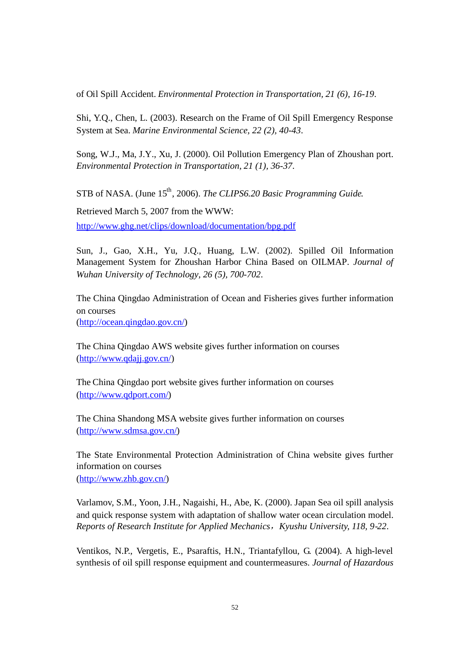of Oil Spill Accident. *Environmental Protection in Transportation, 21 (6), 16-19*.

Shi, Y.Q., Chen, L. (2003). Research on the Frame of Oil Spill Emergency Response System at Sea. *Marine Environmental Science, 22 (2), 40-43*.

Song, W.J., Ma, J.Y., Xu, J. (2000). Oil Pollution Emergency Plan of Zhoushan port. *Environmental Protection in Transportation, 21 (1), 36-37*.

STB of NASA. (June 15<sup>th</sup>, 2006). *The CLIPS6.20 Basic Programming Guide.* 

Retrieved March 5, 2007 from the WWW:

http://www.ghg.net/clips/download/documentation/bpg.pdf

Sun, J., Gao, X.H., Yu, J.Q., Huang, L.W. (2002). Spilled Oil Information Management System for Zhoushan Harbor China Based on OILMAP. *Journal of Wuhan University of Technology, 26 (5), 700-702*.

The China Qingdao Administration of Ocean and Fisheries gives further information on courses (http://ocean.qingdao.gov.cn/)

The China Qingdao AWS website gives further information on courses (http://www.qdajj.gov.cn/)

The China Qingdao port website gives further information on courses (http://www.qdport.com/)

The China Shandong MSA website gives further information on courses (http://www.sdmsa.gov.cn/)

The State Environmental Protection Administration of China website gives further information on courses

(http://www.zhb.gov.cn/)

Varlamov, S.M., Yoon, J.H., Nagaishi, H., Abe, K. (2000). Japan Sea oil spill analysis and quick response system with adaptation of shallow water ocean circulation model. *Reports of Research Institute for Applied Mechanics*,*Kyushu University, 118, 9-22*.

Ventikos, N.P., Vergetis, E., Psaraftis, H.N., Triantafyllou, G. (2004). A high-level synthesis of oil spill response equipment and countermeasures. *Journal of Hazardous*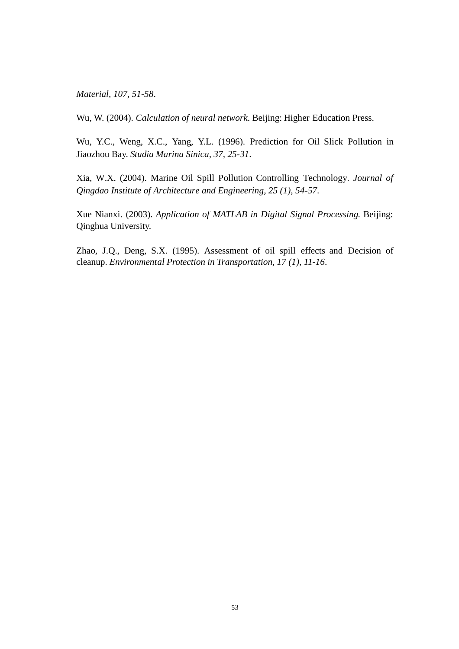*Material, 107, 51-58*.

Wu, W. (2004). *Calculation of neural network*. Beijing: Higher Education Press.

Wu, Y.C., Weng, X.C., Yang, Y.L. (1996). Prediction for Oil Slick Pollution in Jiaozhou Bay. *Studia Marina Sinica, 37, 25-31*.

Xia, W.X. (2004). Marine Oil Spill Pollution Controlling Technology. *Journal of Qingdao Institute of Architecture and Engineering, 25 (1), 54-57*.

Xue Nianxi. (2003). *Application of MATLAB in Digital Signal Processing*. Beijing: Qinghua University.

Zhao, J.Q., Deng, S.X. (1995). Assessment of oil spill effects and Decision of cleanup. *Environmental Protection in Transportation, 17 (1), 11-16*.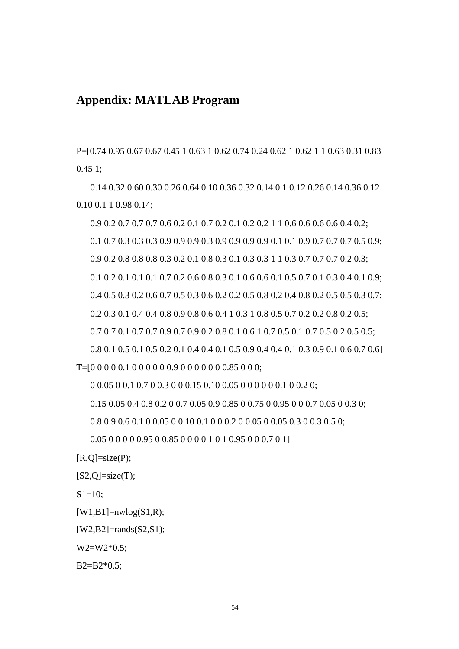# **Appendix: MATLAB Program**

P=[0.74 0.95 0.67 0.67 0.45 1 0.63 1 0.62 0.74 0.24 0.62 1 0.62 1 1 0.63 0.31 0.83  $0.451$ :

0.14 0.32 0.60 0.30 0.26 0.64 0.10 0.36 0.32 0.14 0.1 0.12 0.26 0.14 0.36 0.12 0.10 0.1 1 0.98 0.14;

0.9 0.2 0.7 0.7 0.7 0.6 0.2 0.1 0.7 0.2 0.1 0.2 0.2 1 1 0.6 0.6 0.6 0.6 0.4 0.2; 0.1 0.7 0.3 0.3 0.3 0.9 0.9 0.9 0.3 0.9 0.9 0.9 0.9 0.1 0.1 0.9 0.7 0.7 0.7 0.5 0.9; 0.9 0.2 0.8 0.8 0.8 0.3 0.2 0.1 0.8 0.3 0.1 0.3 0.3 1 1 0.3 0.7 0.7 0.7 0.2 0.3; 0.1 0.2 0.1 0.1 0.1 0.7 0.2 0.6 0.8 0.3 0.1 0.6 0.6 0.1 0.5 0.7 0.1 0.3 0.4 0.1 0.9; 0.4 0.5 0.3 0.2 0.6 0.7 0.5 0.3 0.6 0.2 0.2 0.5 0.8 0.2 0.4 0.8 0.2 0.5 0.5 0.3 0.7; 0.2 0.3 0.1 0.4 0.4 0.8 0.9 0.8 0.6 0.4 1 0.3 1 0.8 0.5 0.7 0.2 0.2 0.8 0.2 0.5; 0.7 0.7 0.1 0.7 0.7 0.9 0.7 0.9 0.2 0.8 0.1 0.6 1 0.7 0.5 0.1 0.7 0.5 0.2 0.5 0.5; 0.8 0.1 0.5 0.1 0.5 0.2 0.1 0.4 0.4 0.1 0.5 0.9 0.4 0.4 0.1 0.3 0.9 0.1 0.6 0.7 0.6]

T=[0 0 0 0 0.1 0 0 0 0 0 0.9 0 0 0 0 0 0 0.85 0 0 0;

0 0.05 0 0.1 0.7 0 0.3 0 0 0.15 0.10 0.05 0 0 0 0 0 0.1 0 0.2 0;

0.15 0.05 0.4 0.8 0.2 0 0.7 0.05 0.9 0.85 0 0.75 0 0.95 0 0 0.7 0.05 0 0.3 0;

0.8 0.9 0.6 0.1 0 0.05 0 0.10 0.1 0 0 0.2 0 0.05 0 0.05 0.3 0 0.3 0.5 0;

0.05 0 0 0 0 0.95 0 0.85 0 0 0 0 1 0 1 0.95 0 0 0.7 0 1]

 $[R,Q]$ =size(P);

```
[S2,Q]=size(T);
```
 $S1=10$ :

 $[W1,B1]=nwlog(S1,R);$ 

 $[W2,B2]=\text{rands}(S2,S1);$ 

W2=W2\*0.5;

B2=B2\*0.5;